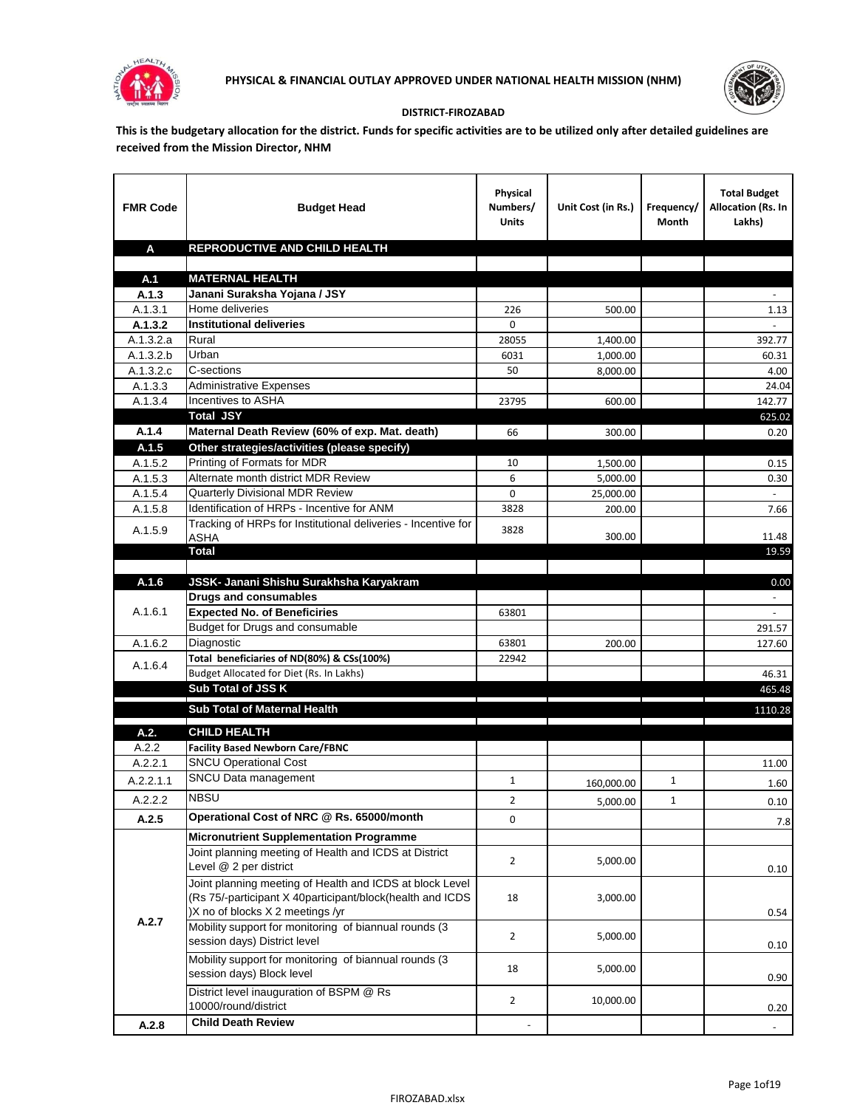



## **DISTRICT-FIROZABAD**

**This is the budgetary allocation for the district. Funds for specific activities are to be utilized only after detailed guidelines are received from the Mission Director, NHM**

| <b>FMR Code</b>        | <b>Budget Head</b>                                                                                                                                        | Physical<br>Numbers/<br><b>Units</b> | Unit Cost (in Rs.)                                    | Frequency/<br>Month | <b>Total Budget</b><br><b>Allocation (Rs. In</b><br>Lakhs) |
|------------------------|-----------------------------------------------------------------------------------------------------------------------------------------------------------|--------------------------------------|-------------------------------------------------------|---------------------|------------------------------------------------------------|
| A                      | REPRODUCTIVE AND CHILD HEALTH                                                                                                                             |                                      |                                                       |                     |                                                            |
|                        |                                                                                                                                                           |                                      |                                                       |                     |                                                            |
| A.1                    | <b>MATERNAL HEALTH</b>                                                                                                                                    |                                      |                                                       |                     |                                                            |
| A.1.3                  | Janani Suraksha Yojana / JSY                                                                                                                              |                                      |                                                       |                     |                                                            |
| A.1.3.1                | Home deliveries                                                                                                                                           | 226                                  | 500.00                                                |                     | 1.13                                                       |
| A.1.3.2                | <b>Institutional deliveries</b>                                                                                                                           | 0                                    |                                                       |                     |                                                            |
| A.1.3.2.a              | Rural                                                                                                                                                     | 28055                                | 1,400.00                                              |                     | 392.77                                                     |
| $\overline{A.1.3.2.b}$ | Urban                                                                                                                                                     | 6031                                 | 1,000.00                                              |                     | 60.31                                                      |
| A.1.3.2.c              | C-sections                                                                                                                                                | 50                                   | 8,000.00                                              |                     | 4.00                                                       |
| A.1.3.3                | <b>Administrative Expenses</b>                                                                                                                            |                                      |                                                       |                     | 24.04                                                      |
| A.1.3.4                | Incentives to ASHA                                                                                                                                        | 23795                                | 600.00                                                |                     | 142.77                                                     |
|                        | <b>Total JSY</b>                                                                                                                                          |                                      |                                                       |                     | 625.02                                                     |
| A.1.4                  | Maternal Death Review (60% of exp. Mat. death)                                                                                                            | 66                                   | 300.00                                                |                     | 0.20                                                       |
| A.1.5                  | Other strategies/activities (please specify)<br>Printing of Formats for MDR                                                                               |                                      |                                                       |                     |                                                            |
| A.1.5.2                | Alternate month district MDR Review                                                                                                                       | 10                                   | 1,500.00                                              |                     | 0.15                                                       |
| A.1.5.3                | Quarterly Divisional MDR Review                                                                                                                           | 6<br>0                               | 5,000.00                                              |                     | 0.30                                                       |
| A.1.5.4<br>A.1.5.8     | Identification of HRPs - Incentive for ANM                                                                                                                | 3828                                 | 25,000.00<br>200.00                                   |                     | 7.66                                                       |
|                        | Tracking of HRPs for Institutional deliveries - Incentive for                                                                                             |                                      |                                                       |                     |                                                            |
| A.1.5.9                | <b>ASHA</b>                                                                                                                                               | 3828                                 | 300.00                                                |                     | 11.48                                                      |
|                        | Total                                                                                                                                                     |                                      |                                                       |                     | 19.59                                                      |
|                        |                                                                                                                                                           |                                      |                                                       |                     |                                                            |
| A.1.6                  | JSSK- Janani Shishu Surakhsha Karyakram                                                                                                                   |                                      |                                                       |                     | 0.00                                                       |
|                        | <b>Drugs and consumables</b>                                                                                                                              |                                      |                                                       |                     |                                                            |
| A.1.6.1                | <b>Expected No. of Beneficiries</b>                                                                                                                       | 63801                                |                                                       |                     | $\sim$                                                     |
|                        | Budget for Drugs and consumable                                                                                                                           |                                      |                                                       |                     | 291.57                                                     |
| A.1.6.2                | Diagnostic                                                                                                                                                | 63801                                | 200.00                                                |                     | 127.60                                                     |
| A.1.6.4                | Total beneficiaries of ND(80%) & CSs(100%)                                                                                                                | 22942                                |                                                       |                     |                                                            |
|                        | Budget Allocated for Diet (Rs. In Lakhs)                                                                                                                  |                                      |                                                       |                     | 46.31                                                      |
|                        | Sub Total of JSS K                                                                                                                                        |                                      |                                                       |                     | 465.48                                                     |
|                        | Sub Total of Maternal Health                                                                                                                              |                                      |                                                       |                     | 1110.28                                                    |
| A.2.                   | <b>CHILD HEALTH</b>                                                                                                                                       |                                      | <u> 1989 - Johann Stein, fransk politik (d. 1989)</u> |                     |                                                            |
| A.2.2                  | <b>Facility Based Newborn Care/FBNC</b>                                                                                                                   |                                      |                                                       |                     |                                                            |
| A.2.2.1                | <b>SNCU Operational Cost</b>                                                                                                                              |                                      |                                                       |                     | 11.00                                                      |
| A.2.2.1.1              | SNCU Data management                                                                                                                                      | $\mathbf{1}$                         |                                                       | 1                   |                                                            |
|                        |                                                                                                                                                           |                                      | 160,000.00                                            |                     | 1.60                                                       |
| A.2.2.2                | <b>NBSU</b>                                                                                                                                               | $\overline{2}$                       | 5,000.00                                              | 1                   | 0.10                                                       |
| A.2.5                  | Operational Cost of NRC @ Rs. 65000/month                                                                                                                 | 0                                    |                                                       |                     | 7.8                                                        |
|                        | <b>Micronutrient Supplementation Programme</b>                                                                                                            |                                      |                                                       |                     |                                                            |
|                        | Joint planning meeting of Health and ICDS at District<br>Level @ 2 per district                                                                           | $\overline{2}$                       | 5,000.00                                              |                     | 0.10                                                       |
|                        | Joint planning meeting of Health and ICDS at block Level<br>(Rs 75/-participant X 40participant/block(health and ICDS<br>)X no of blocks X 2 meetings /yr | 18                                   | 3,000.00                                              |                     | 0.54                                                       |
| A.2.7                  | Mobility support for monitoring of biannual rounds (3<br>session days) District level                                                                     | $\overline{2}$                       | 5,000.00                                              |                     | 0.10                                                       |
|                        | Mobility support for monitoring of biannual rounds (3<br>session days) Block level                                                                        | 18                                   | 5,000.00                                              |                     | 0.90                                                       |
|                        | District level inauguration of BSPM @ Rs<br>10000/round/district                                                                                          | $\overline{2}$                       | 10,000.00                                             |                     | 0.20                                                       |
| A.2.8                  | <b>Child Death Review</b>                                                                                                                                 |                                      |                                                       |                     | $\overline{\phantom{a}}$                                   |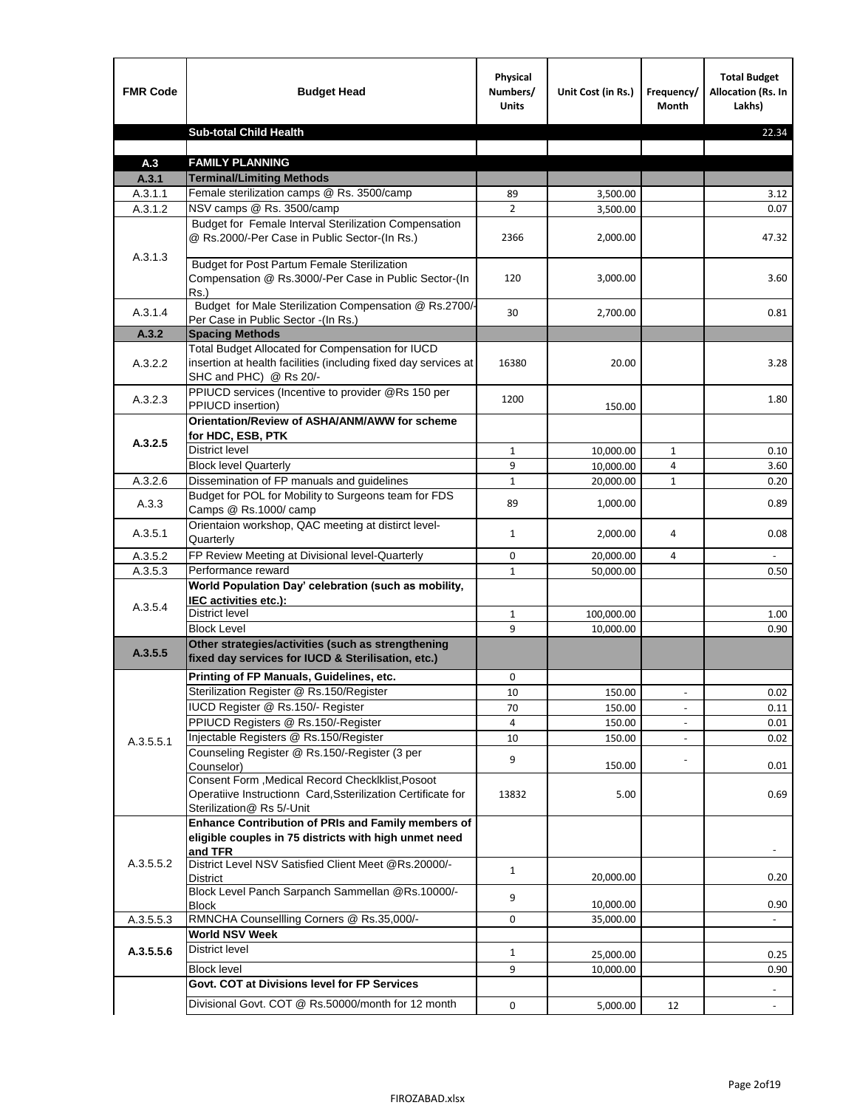| <b>FMR Code</b> | <b>Budget Head</b>                                                                                                                             | Physical<br>Numbers/<br><b>Units</b> | Unit Cost (in Rs.) | Frequency/<br><b>Month</b> | <b>Total Budget</b><br>Allocation (Rs. In<br>Lakhs) |
|-----------------|------------------------------------------------------------------------------------------------------------------------------------------------|--------------------------------------|--------------------|----------------------------|-----------------------------------------------------|
|                 | <b>Sub-total Child Health</b>                                                                                                                  |                                      |                    |                            | 22.34                                               |
|                 |                                                                                                                                                |                                      |                    |                            |                                                     |
| A.3             | <b>FAMILY PLANNING</b>                                                                                                                         |                                      |                    |                            |                                                     |
| A.3.1           | <b>Terminal/Limiting Methods</b>                                                                                                               |                                      |                    |                            |                                                     |
| A.3.1.1         | Female sterilization camps @ Rs. 3500/camp<br>NSV camps @ Rs. 3500/camp                                                                        | 89<br>$\overline{2}$                 | 3,500.00           |                            | 3.12<br>0.07                                        |
| A.3.1.2         | Budget for Female Interval Sterilization Compensation                                                                                          |                                      | 3,500.00           |                            |                                                     |
| A.3.1.3         | @ Rs.2000/-Per Case in Public Sector-(In Rs.)                                                                                                  | 2366                                 | 2,000.00           |                            | 47.32                                               |
|                 | <b>Budget for Post Partum Female Sterilization</b><br>Compensation @ Rs.3000/-Per Case in Public Sector-(In<br>$Rs.$ )                         | 120                                  | 3,000.00           |                            | 3.60                                                |
| A.3.1.4         | Budget for Male Sterilization Compensation @ Rs.2700/-<br>Per Case in Public Sector -(In Rs.)                                                  | 30                                   | 2,700.00           |                            | 0.81                                                |
| A.3.2           | <b>Spacing Methods</b>                                                                                                                         |                                      |                    |                            |                                                     |
| A.3.2.2         | Total Budget Allocated for Compensation for IUCD<br>insertion at health facilities (including fixed day services at<br>SHC and PHC) @ Rs 20/-  | 16380                                | 20.00              |                            | 3.28                                                |
| A.3.2.3         | PPIUCD services (Incentive to provider @Rs 150 per<br>PPIUCD insertion)                                                                        | 1200                                 | 150.00             |                            | 1.80                                                |
|                 | Orientation/Review of ASHA/ANM/AWW for scheme<br>for HDC, ESB, PTK                                                                             |                                      |                    |                            |                                                     |
| A.3.2.5         | <b>District level</b>                                                                                                                          | $\mathbf{1}$                         | 10,000.00          | $\mathbf{1}$               | 0.10                                                |
|                 | <b>Block level Quarterly</b>                                                                                                                   | 9                                    | 10,000.00          | 4                          | 3.60                                                |
| A.3.2.6         | Dissemination of FP manuals and guidelines                                                                                                     | $\mathbf{1}$                         | 20,000.00          | $\mathbf{1}$               | 0.20                                                |
| A.3.3           | Budget for POL for Mobility to Surgeons team for FDS<br>Camps @ Rs.1000/ camp                                                                  | 89                                   | 1,000.00           |                            | 0.89                                                |
| A.3.5.1         | Orientaion workshop, QAC meeting at distirct level-<br>Quarterly                                                                               | $\mathbf{1}$                         | 2,000.00           | 4                          | 0.08                                                |
| A.3.5.2         | FP Review Meeting at Divisional level-Quarterly                                                                                                | 0                                    | 20,000.00          | 4                          |                                                     |
| A.3.5.3         | Performance reward                                                                                                                             | $\mathbf{1}$                         | 50,000.00          |                            | 0.50                                                |
| A.3.5.4         | World Population Day' celebration (such as mobility,<br>IEC activities etc.):                                                                  |                                      |                    |                            |                                                     |
|                 | District level                                                                                                                                 | $\mathbf{1}$                         | 100,000.00         |                            | 1.00                                                |
|                 | <b>Block Level</b>                                                                                                                             | 9                                    | 10,000.00          |                            | 0.90                                                |
| A.3.5.5         | Other strategies/activities (such as strengthening<br>fixed day services for IUCD & Sterilisation, etc.)                                       |                                      |                    |                            |                                                     |
|                 | Printing of FP Manuals, Guidelines, etc.                                                                                                       | 0                                    |                    |                            |                                                     |
|                 | Sterilization Register @ Rs.150/Register                                                                                                       | 10                                   | 150.00             | $\centerdot$               | 0.02                                                |
|                 | IUCD Register @ Rs.150/- Register                                                                                                              | 70                                   | 150.00             |                            | 0.11                                                |
|                 | PPIUCD Registers @ Rs.150/-Register                                                                                                            | 4                                    | 150.00             |                            | 0.01                                                |
| A.3.5.5.1       | Injectable Registers @ Rs.150/Register                                                                                                         | 10                                   | 150.00             |                            | 0.02                                                |
|                 | Counseling Register @ Rs.150/-Register (3 per<br>Counselor)                                                                                    | 9                                    | 150.00             |                            | 0.01                                                |
|                 | Consent Form , Medical Record CheckIklist, Posoot<br>Operatiive Instructionn Card, Ssterilization Certificate for<br>Sterilization@ Rs 5/-Unit | 13832                                | 5.00               |                            | 0.69                                                |
|                 | Enhance Contribution of PRIs and Family members of<br>eligible couples in 75 districts with high unmet need<br>and TFR                         |                                      |                    |                            |                                                     |
| A.3.5.5.2       | District Level NSV Satisfied Client Meet @Rs.20000/-<br>District                                                                               | $\mathbf{1}$                         | 20,000.00          |                            | 0.20                                                |
|                 | Block Level Panch Sarpanch Sammellan @Rs.10000/-<br><b>Block</b>                                                                               | 9                                    | 10,000.00          |                            | 0.90                                                |
| A.3.5.5.3       | RMNCHA Counsellling Corners @ Rs.35,000/-                                                                                                      | 0                                    | 35,000.00          |                            |                                                     |
|                 | <b>World NSV Week</b>                                                                                                                          |                                      |                    |                            |                                                     |
| A.3.5.5.6       | <b>District level</b>                                                                                                                          | $\mathbf{1}$                         | 25,000.00          |                            | 0.25                                                |
|                 | <b>Block level</b>                                                                                                                             | 9                                    | 10,000.00          |                            | 0.90                                                |
|                 | Govt. COT at Divisions level for FP Services                                                                                                   |                                      |                    |                            |                                                     |
|                 | Divisional Govt. COT @ Rs.50000/month for 12 month                                                                                             | 0                                    | 5,000.00           | 12                         | $\omega$                                            |
|                 |                                                                                                                                                |                                      |                    |                            |                                                     |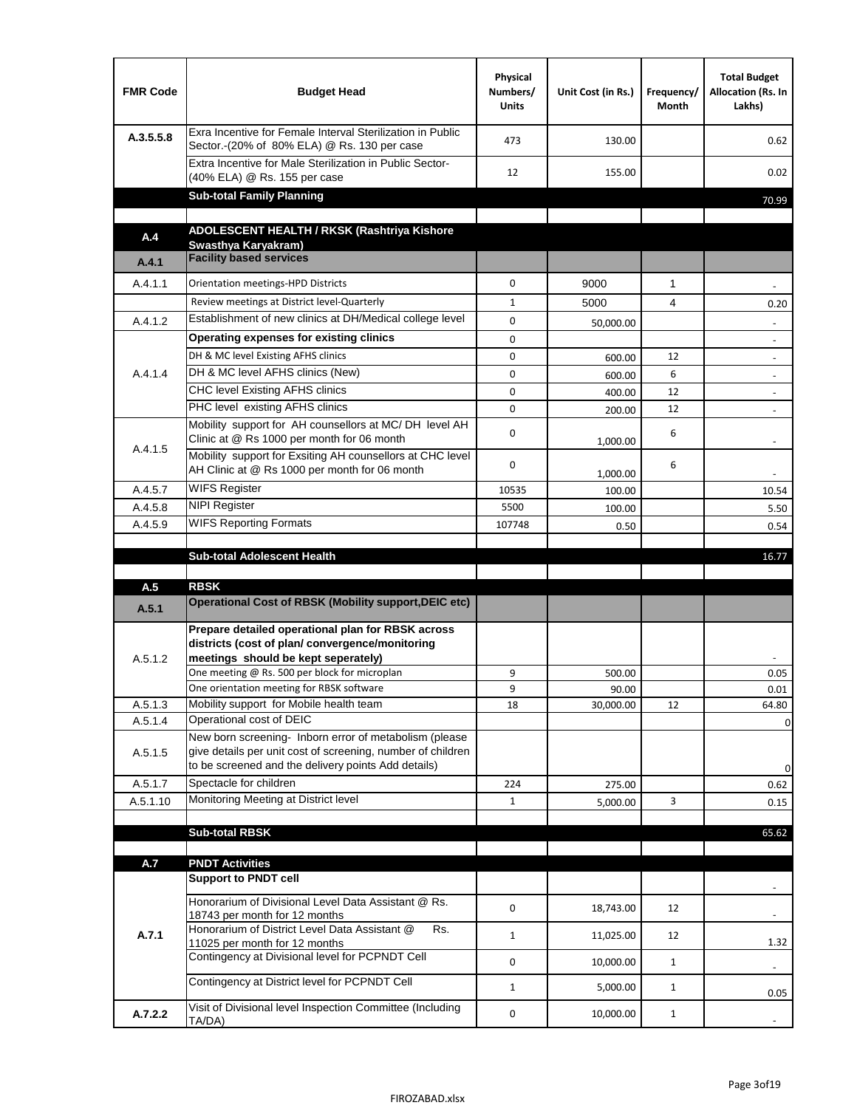| <b>FMR Code</b> | <b>Budget Head</b>                                                                                                                                                           | Physical<br>Numbers/<br><b>Units</b> | Unit Cost (in Rs.) | Frequency/<br>Month | <b>Total Budget</b><br>Allocation (Rs. In<br>Lakhs) |
|-----------------|------------------------------------------------------------------------------------------------------------------------------------------------------------------------------|--------------------------------------|--------------------|---------------------|-----------------------------------------------------|
| A.3.5.5.8       | Exra Incentive for Female Interval Sterilization in Public<br>Sector.-(20% of 80% ELA) @ Rs. 130 per case                                                                    | 473                                  | 130.00             |                     | 0.62                                                |
|                 | Extra Incentive for Male Sterilization in Public Sector-<br>(40% ELA) @ Rs. 155 per case                                                                                     | 12                                   | 155.00             |                     | 0.02                                                |
|                 | <b>Sub-total Family Planning</b>                                                                                                                                             |                                      |                    |                     | 70.99                                               |
|                 | ADOLESCENT HEALTH / RKSK (Rashtriya Kishore                                                                                                                                  |                                      |                    |                     |                                                     |
| A.4             | Swasthya Karyakram)                                                                                                                                                          |                                      |                    |                     |                                                     |
| A.4.1           | <b>Facility based services</b>                                                                                                                                               |                                      |                    |                     |                                                     |
| A.4.1.1         | Orientation meetings-HPD Districts                                                                                                                                           | $\Omega$                             | 9000               | $\mathbf{1}$        |                                                     |
|                 | Review meetings at District level-Quarterly                                                                                                                                  | $\mathbf{1}$                         | 5000               | 4                   | 0.20                                                |
| A.4.1.2         | Establishment of new clinics at DH/Medical college level                                                                                                                     | $\Omega$                             | 50,000.00          |                     |                                                     |
|                 | Operating expenses for existing clinics                                                                                                                                      | 0                                    |                    |                     |                                                     |
|                 | DH & MC level Existing AFHS clinics                                                                                                                                          | 0                                    | 600.00             | 12                  |                                                     |
| A.4.1.4         | DH & MC level AFHS clinics (New)                                                                                                                                             | 0                                    | 600.00             | 6                   | $\overline{\phantom{a}}$                            |
|                 | CHC level Existing AFHS clinics                                                                                                                                              | 0                                    | 400.00             | 12                  | $\overline{\phantom{a}}$                            |
|                 | PHC level existing AFHS clinics<br>Mobility support for AH counsellors at MC/DH level AH                                                                                     | $\Omega$                             | 200.00             | 12                  | $\blacksquare$                                      |
| A.4.1.5         | Clinic at @ Rs 1000 per month for 06 month<br>Mobility support for Exsiting AH counsellors at CHC level                                                                      | 0                                    | 1,000.00           | 6                   |                                                     |
|                 | AH Clinic at @ Rs 1000 per month for 06 month                                                                                                                                | 0                                    | 1,000.00           | 6                   |                                                     |
| A.4.5.7         | <b>WIFS Register</b>                                                                                                                                                         | 10535                                | 100.00             |                     | 10.54                                               |
| A.4.5.8         | <b>NIPI Register</b>                                                                                                                                                         | 5500                                 | 100.00             |                     | 5.50                                                |
| A.4.5.9         | <b>WIFS Reporting Formats</b>                                                                                                                                                | 107748                               | 0.50               |                     | 0.54                                                |
|                 |                                                                                                                                                                              |                                      |                    |                     |                                                     |
|                 | <b>Sub-total Adolescent Health</b>                                                                                                                                           |                                      |                    |                     | 16.77                                               |
| A.5             | <b>RBSK</b>                                                                                                                                                                  |                                      |                    |                     |                                                     |
| A.5.1           | <b>Operational Cost of RBSK (Mobility support, DEIC etc)</b>                                                                                                                 |                                      |                    |                     |                                                     |
| A.5.1.2         | Prepare detailed operational plan for RBSK across<br>districts (cost of plan/convergence/monitoring<br>meetings should be kept seperately)                                   |                                      |                    |                     |                                                     |
|                 | One meeting @ Rs. 500 per block for microplan                                                                                                                                | 9                                    | 500.00             |                     | 0.05                                                |
|                 | One orientation meeting for RBSK software                                                                                                                                    | 9                                    | 90.00              |                     | 0.01                                                |
| A.5.1.3         | Mobility support for Mobile health team                                                                                                                                      | 18                                   | 30,000.00          | 12                  | 64.80                                               |
| A.5.1.4         | Operational cost of DEIC                                                                                                                                                     |                                      |                    |                     | 0                                                   |
| A.5.1.5         | New born screening- Inborn error of metabolism (please<br>give details per unit cost of screening, number of children<br>to be screened and the delivery points Add details) |                                      |                    |                     | 0                                                   |
| A.5.1.7         | Spectacle for children                                                                                                                                                       | 224                                  | 275.00             |                     | 0.62                                                |
| A.5.1.10        | Monitoring Meeting at District level                                                                                                                                         | $\mathbf{1}$                         | 5,000.00           | 3                   | 0.15                                                |
|                 |                                                                                                                                                                              |                                      |                    |                     |                                                     |
|                 | <b>Sub-total RBSK</b>                                                                                                                                                        |                                      |                    |                     | 65.62                                               |
| A.7             | <b>PNDT Activities</b>                                                                                                                                                       |                                      |                    |                     |                                                     |
|                 | <b>Support to PNDT cell</b>                                                                                                                                                  |                                      |                    |                     |                                                     |
|                 | Honorarium of Divisional Level Data Assistant @ Rs.<br>18743 per month for 12 months                                                                                         | 0                                    | 18,743.00          | 12                  |                                                     |
| A.7.1           | Honorarium of District Level Data Assistant @<br>Rs.                                                                                                                         | $\mathbf{1}$                         | 11,025.00          | 12                  |                                                     |
|                 | 11025 per month for 12 months<br>Contingency at Divisional level for PCPNDT Cell                                                                                             |                                      |                    |                     | 1.32                                                |
|                 |                                                                                                                                                                              | 0                                    | 10,000.00          | $\mathbf{1}$        | $\overline{\phantom{a}}$                            |
|                 | Contingency at District level for PCPNDT Cell                                                                                                                                | $\mathbf{1}$                         | 5,000.00           | $\mathbf{1}$        | 0.05                                                |
| A.7.2.2         | Visit of Divisional level Inspection Committee (Including<br>TA/DA)                                                                                                          | 0                                    | 10,000.00          | $\mathbf{1}$        |                                                     |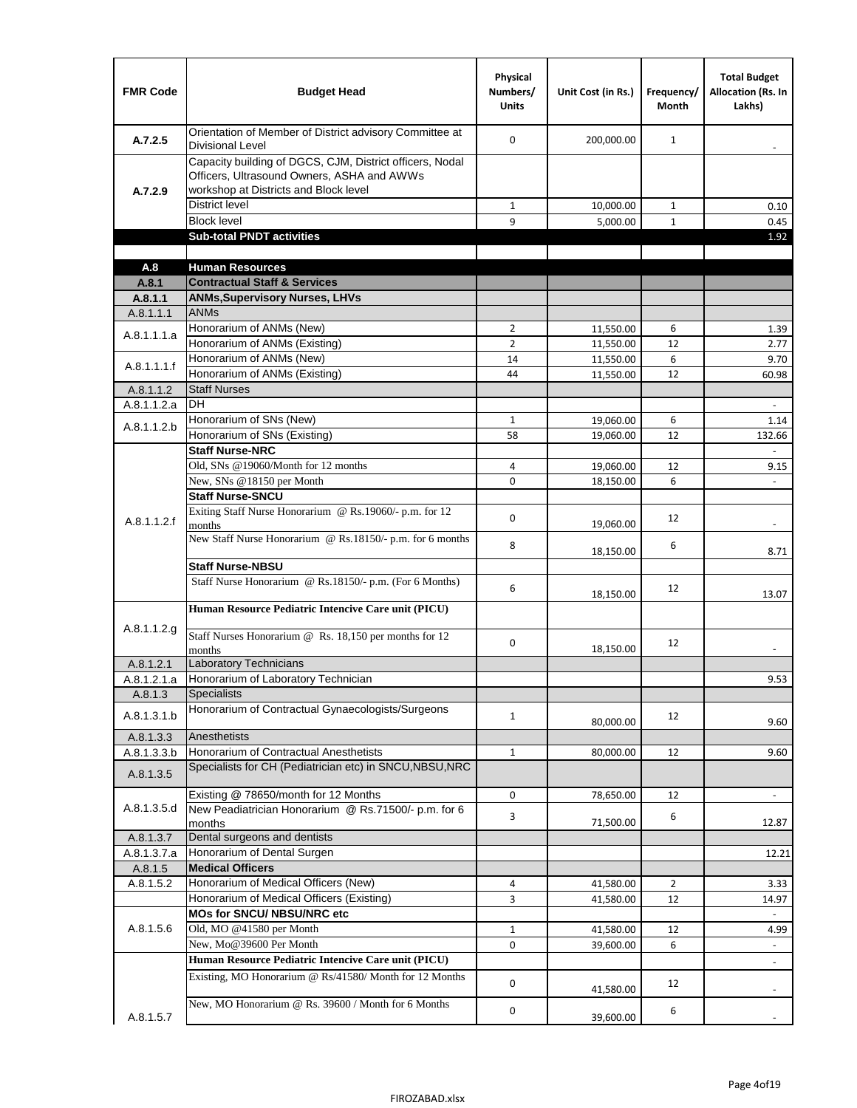| <b>FMR Code</b>      | <b>Budget Head</b>                                                                                                                              | Physical<br>Numbers/<br><b>Units</b> | Unit Cost (in Rs.)     | Frequency/<br><b>Month</b> | <b>Total Budget</b><br><b>Allocation (Rs. In</b><br>Lakhs) |
|----------------------|-------------------------------------------------------------------------------------------------------------------------------------------------|--------------------------------------|------------------------|----------------------------|------------------------------------------------------------|
| A.7.2.5              | Orientation of Member of District advisory Committee at<br><b>Divisional Level</b>                                                              | $\Omega$                             | 200,000.00             | $\mathbf{1}$               | $\overline{\phantom{m}}$                                   |
| A.7.2.9              | Capacity building of DGCS, CJM, District officers, Nodal<br>Officers, Ultrasound Owners, ASHA and AWWs<br>workshop at Districts and Block level |                                      |                        |                            |                                                            |
|                      | <b>District level</b>                                                                                                                           | $\mathbf{1}$                         | 10,000.00              | 1                          | 0.10                                                       |
|                      | <b>Block level</b>                                                                                                                              | 9                                    | 5,000.00               | $\mathbf{1}$               | 0.45                                                       |
|                      | <b>Sub-total PNDT activities</b>                                                                                                                |                                      |                        |                            | 1.92                                                       |
|                      |                                                                                                                                                 |                                      |                        |                            |                                                            |
| A.8                  | <b>Human Resources</b>                                                                                                                          |                                      |                        |                            |                                                            |
| A.8.1                | <b>Contractual Staff &amp; Services</b>                                                                                                         |                                      |                        |                            |                                                            |
| A.8.1.1<br>A.8.1.1.1 | <b>ANMs, Supervisory Nurses, LHVs</b><br><b>ANMs</b>                                                                                            |                                      |                        |                            |                                                            |
|                      | Honorarium of ANMs (New)                                                                                                                        | $\overline{2}$                       |                        | 6                          |                                                            |
| A.8.1.1.1.a          | Honorarium of ANMs (Existing)                                                                                                                   | $\overline{2}$                       | 11,550.00<br>11,550.00 | 12                         | 1.39<br>2.77                                               |
|                      | Honorarium of ANMs (New)                                                                                                                        | 14                                   | 11,550.00              | 6                          | 9.70                                                       |
| A.8.1.1.1.f          | Honorarium of ANMs (Existing)                                                                                                                   | 44                                   | 11,550.00              | 12                         | 60.98                                                      |
| A.8.1.1.2            | <b>Staff Nurses</b>                                                                                                                             |                                      |                        |                            |                                                            |
| A.8.1.1.2.a          | <b>DH</b>                                                                                                                                       |                                      |                        |                            | $\Box$                                                     |
|                      | Honorarium of SNs (New)                                                                                                                         | $\mathbf{1}$                         | 19,060.00              | 6                          | 1.14                                                       |
| A.8.1.1.2.b          | Honorarium of SNs (Existing)                                                                                                                    | 58                                   | 19.060.00              | 12                         | 132.66                                                     |
|                      | <b>Staff Nurse-NRC</b>                                                                                                                          |                                      |                        |                            | $\overline{\phantom{a}}$                                   |
|                      | Old, SNs @19060/Month for 12 months                                                                                                             | 4                                    | 19,060.00              | 12                         | 9.15                                                       |
|                      | New, SNs @18150 per Month                                                                                                                       | 0                                    | 18,150.00              | 6                          |                                                            |
|                      | <b>Staff Nurse-SNCU</b>                                                                                                                         |                                      |                        |                            |                                                            |
| A.8.1.1.2.f          | Exiting Staff Nurse Honorarium @ Rs.19060/- p.m. for 12<br>months                                                                               | $\Omega$                             | 19,060.00              | 12                         | -                                                          |
|                      | New Staff Nurse Honorarium @ Rs.18150/- p.m. for 6 months                                                                                       | 8                                    | 18,150.00              | 6                          | 8.71                                                       |
|                      | <b>Staff Nurse-NBSU</b>                                                                                                                         |                                      |                        |                            |                                                            |
|                      | Staff Nurse Honorarium @ Rs.18150/- p.m. (For 6 Months)                                                                                         | 6                                    | 18,150.00              | 12                         | 13.07                                                      |
|                      | Human Resource Pediatric Intencive Care unit (PICU)                                                                                             |                                      |                        |                            |                                                            |
| A.8.1.1.2.g          | Staff Nurses Honorarium @ Rs. 18,150 per months for 12<br>months                                                                                | 0                                    | 18,150.00              | 12                         |                                                            |
| A.8.1.2.1            | <b>Laboratory Technicians</b>                                                                                                                   |                                      |                        |                            |                                                            |
| A.8.1.2.1.a          | Honorarium of Laboratory Technician                                                                                                             |                                      |                        |                            | 9.53                                                       |
| A.8.1.3              | <b>Specialists</b>                                                                                                                              |                                      |                        |                            |                                                            |
| A.8.1.3.1.b          | Honorarium of Contractual Gynaecologists/Surgeons                                                                                               | $\mathbf{1}$                         | 80,000.00              | 12                         | 9.60                                                       |
| A.8.1.3.3            | Anesthetists                                                                                                                                    |                                      |                        |                            |                                                            |
| A.8.1.3.3.b          | Honorarium of Contractual Anesthetists                                                                                                          | $\mathbf{1}$                         | 80,000.00              | 12                         | 9.60                                                       |
| A.8.1.3.5            | Specialists for CH (Pediatrician etc) in SNCU, NBSU, NRC                                                                                        |                                      |                        |                            |                                                            |
|                      | Existing @ 78650/month for 12 Months                                                                                                            | 0                                    | 78,650.00              | 12                         | $\blacksquare$                                             |
| A.8.1.3.5.d          | New Peadiatrician Honorarium @ Rs.71500/- p.m. for 6<br>months                                                                                  | 3                                    | 71,500.00              | 6                          | 12.87                                                      |
| A.8.1.3.7            | Dental surgeons and dentists                                                                                                                    |                                      |                        |                            |                                                            |
| A.8.1.3.7.a          | Honorarium of Dental Surgen                                                                                                                     |                                      |                        |                            | 12.21                                                      |
| A.8.1.5              | <b>Medical Officers</b>                                                                                                                         |                                      |                        |                            |                                                            |
| A.8.1.5.2            | Honorarium of Medical Officers (New)                                                                                                            | 4                                    | 41,580.00              | $\overline{2}$             | 3.33                                                       |
|                      | Honorarium of Medical Officers (Existing)                                                                                                       | 3                                    | 41,580.00              | 12                         | 14.97                                                      |
|                      | MOs for SNCU/ NBSU/NRC etc                                                                                                                      |                                      |                        |                            |                                                            |
| A.8.1.5.6            | Old, MO @41580 per Month                                                                                                                        | $\mathbf{1}$                         | 41,580.00              | 12                         | 4.99                                                       |
|                      | New, Mo@39600 Per Month                                                                                                                         | 0                                    | 39,600.00              | 6                          | $\blacksquare$                                             |
|                      | Human Resource Pediatric Intencive Care unit (PICU)                                                                                             |                                      |                        |                            | $\frac{1}{2}$                                              |
|                      | Existing, MO Honorarium @ Rs/41580/ Month for 12 Months                                                                                         | $\mathbf 0$                          | 41,580.00              | 12                         |                                                            |
| A.8.1.5.7            | New, MO Honorarium @ Rs. 39600 / Month for 6 Months                                                                                             | 0                                    | 39,600.00              | 6                          |                                                            |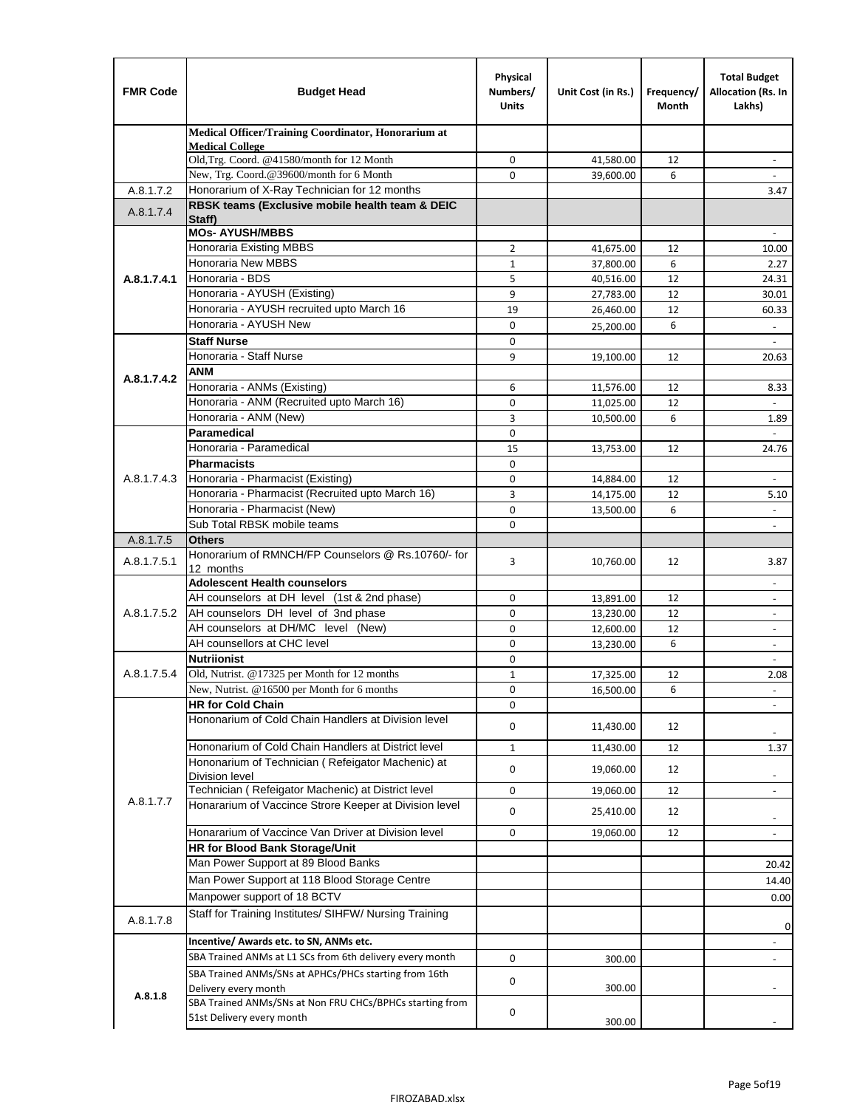| <b>FMR Code</b> | <b>Budget Head</b>                                                        | Physical<br>Numbers/<br><b>Units</b> | Unit Cost (in Rs.)     | Frequency/<br>Month | <b>Total Budget</b><br>Allocation (Rs. In<br>Lakhs)  |
|-----------------|---------------------------------------------------------------------------|--------------------------------------|------------------------|---------------------|------------------------------------------------------|
|                 | Medical Officer/Training Coordinator, Honorarium at                       |                                      |                        |                     |                                                      |
|                 | <b>Medical College</b><br>Old, Trg. Coord. @41580/month for 12 Month      | 0                                    | 41,580.00              | 12                  | $\overline{\phantom{m}}$                             |
|                 | New, Trg. Coord.@39600/month for 6 Month                                  | $\Omega$                             | 39,600.00              | 6                   |                                                      |
| A.8.1.7.2       | Honorarium of X-Ray Technician for 12 months                              |                                      |                        |                     | 3.47                                                 |
| A.8.1.7.4       | RBSK teams (Exclusive mobile health team & DEIC                           |                                      |                        |                     |                                                      |
|                 | Staff)                                                                    |                                      |                        |                     |                                                      |
|                 | <b>MOs- AYUSH/MBBS</b>                                                    |                                      |                        |                     |                                                      |
|                 | Honoraria Existing MBBS<br><b>Honoraria New MBBS</b>                      | $\overline{2}$<br>$\mathbf{1}$       | 41,675.00              | 12<br>6             | 10.00                                                |
| A.8.1.7.4.1     | Honoraria - BDS                                                           | 5                                    | 37,800.00<br>40,516.00 | 12                  | 2.27<br>24.31                                        |
|                 | Honoraria - AYUSH (Existing)                                              | 9                                    | 27,783.00              | 12                  | 30.01                                                |
|                 | Honoraria - AYUSH recruited upto March 16                                 | 19                                   | 26,460.00              | 12                  | 60.33                                                |
|                 | Honoraria - AYUSH New                                                     | $\mathbf 0$                          | 25,200.00              | 6                   | $\overline{\phantom{a}}$                             |
|                 | <b>Staff Nurse</b>                                                        | $\Omega$                             |                        |                     |                                                      |
|                 | Honoraria - Staff Nurse                                                   | 9                                    | 19,100.00              | 12                  | 20.63                                                |
| A.8.1.7.4.2     | <b>ANM</b>                                                                |                                      |                        |                     |                                                      |
|                 | Honoraria - ANMs (Existing)                                               | 6                                    | 11,576.00              | 12                  | 8.33                                                 |
|                 | Honoraria - ANM (Recruited upto March 16)                                 | 0                                    | 11,025.00              | 12                  |                                                      |
|                 | Honoraria - ANM (New)                                                     | 3                                    | 10,500.00              | 6                   | 1.89                                                 |
|                 | Paramedical                                                               | $\mathbf 0$                          |                        |                     | $\overline{\phantom{a}}$                             |
|                 | Honoraria - Paramedical<br><b>Pharmacists</b>                             | 15                                   | 13,753.00              | 12                  | 24.76                                                |
| A.8.1.7.4.3     | Honoraria - Pharmacist (Existing)                                         | 0<br>$\mathbf 0$                     |                        | 12                  | $\blacksquare$                                       |
|                 | Honoraria - Pharmacist (Recruited upto March 16)                          | 3                                    | 14,884.00<br>14,175.00 | 12                  | 5.10                                                 |
|                 | Honoraria - Pharmacist (New)                                              | $\Omega$                             | 13,500.00              | 6                   |                                                      |
|                 | Sub Total RBSK mobile teams                                               | $\Omega$                             |                        |                     | $\overline{\phantom{a}}$                             |
| A.8.1.7.5       | <b>Others</b>                                                             |                                      |                        |                     |                                                      |
| A.8.1.7.5.1     | Honorarium of RMNCH/FP Counselors @ Rs.10760/- for                        | 3                                    | 10,760.00              | 12                  | 3.87                                                 |
|                 | 12 months                                                                 |                                      |                        |                     |                                                      |
|                 | <b>Adolescent Health counselors</b>                                       |                                      |                        |                     | $\blacksquare$                                       |
|                 | AH counselors at DH level (1st & 2nd phase)                               | 0                                    | 13,891.00              | 12                  | $\overline{\phantom{m}}$                             |
| A.8.1.7.5.2     | AH counselors DH level of 3nd phase<br>AH counselors at DH/MC level (New) | $\mathbf 0$<br>0                     | 13,230.00<br>12,600.00 | 12<br>12            | $\overline{\phantom{a}}$<br>$\overline{\phantom{a}}$ |
|                 | AH counsellors at CHC level                                               | $\mathbf 0$                          | 13,230.00              | 6                   | $\blacksquare$                                       |
|                 | <b>Nutriionist</b>                                                        | $\mathbf 0$                          |                        |                     | $\overline{\phantom{a}}$                             |
| A.8.1.7.5.4     | Old, Nutrist. @17325 per Month for 12 months                              | $\mathbf{1}$                         | 17,325.00              | 12                  | 2.08                                                 |
|                 | New, Nutrist. $@16500$ per Month for 6 months                             | 0                                    | 16,500.00              | 6                   |                                                      |
|                 | <b>HR for Cold Chain</b>                                                  | 0                                    |                        |                     |                                                      |
|                 | Hononarium of Cold Chain Handlers at Division level                       | 0                                    | 11,430.00              | 12                  |                                                      |
|                 | Hononarium of Cold Chain Handlers at District level                       | $\mathbf{1}$                         |                        | 12                  | 1.37                                                 |
|                 | Hononarium of Technician (Refeigator Machenic) at                         |                                      | 11,430.00              |                     |                                                      |
|                 | <b>Division level</b>                                                     | 0                                    | 19,060.00              | 12                  | ۰                                                    |
|                 | Technician (Refeigator Machenic) at District level                        | 0                                    | 19,060.00              | 12                  | ÷,                                                   |
| A.8.1.7.7       | Honararium of Vaccince Strore Keeper at Division level                    | 0                                    | 25,410.00              | 12                  | $\overline{\phantom{a}}$                             |
|                 | Honararium of Vaccince Van Driver at Division level                       | 0                                    | 19,060.00              | 12                  | $\overline{\phantom{m}}$                             |
|                 | HR for Blood Bank Storage/Unit                                            |                                      |                        |                     |                                                      |
|                 | Man Power Support at 89 Blood Banks                                       |                                      |                        |                     | 20.42                                                |
|                 | Man Power Support at 118 Blood Storage Centre                             |                                      |                        |                     | 14.40                                                |
|                 | Manpower support of 18 BCTV                                               |                                      |                        |                     | 0.00                                                 |
| A.8.1.7.8       | Staff for Training Institutes/ SIHFW/ Nursing Training                    |                                      |                        |                     |                                                      |
|                 | Incentive/ Awards etc. to SN, ANMs etc.                                   |                                      |                        |                     | 0                                                    |
|                 | SBA Trained ANMs at L1 SCs from 6th delivery every month                  | 0                                    |                        |                     | $\overline{\phantom{m}}$                             |
|                 | SBA Trained ANMs/SNs at APHCs/PHCs starting from 16th                     |                                      | 300.00                 |                     | $\frac{1}{2}$                                        |
|                 | Delivery every month                                                      | 0                                    | 300.00                 |                     |                                                      |
| A.8.1.8         | SBA Trained ANMs/SNs at Non FRU CHCs/BPHCs starting from                  |                                      |                        |                     |                                                      |
|                 | 51st Delivery every month                                                 | 0                                    | 300.00                 |                     |                                                      |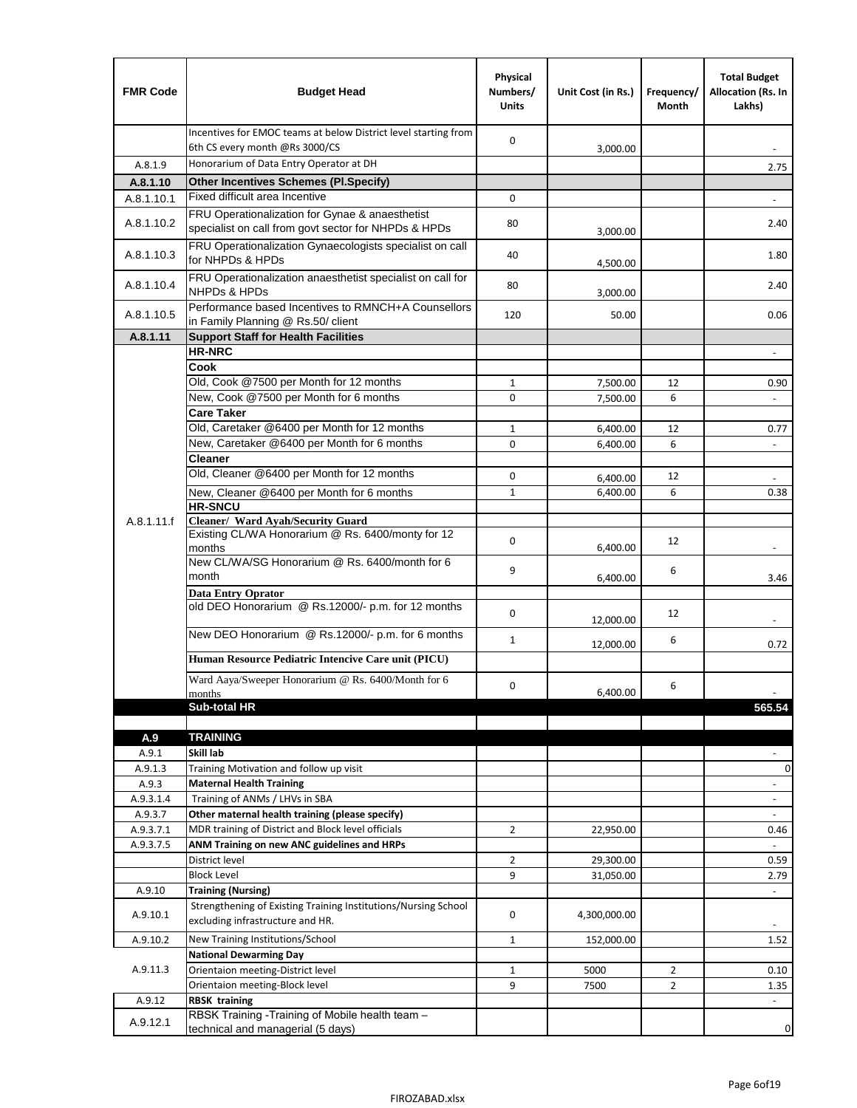| <b>FMR Code</b>  | <b>Budget Head</b>                                                                                      | Physical<br>Numbers/<br><b>Units</b> | Unit Cost (in Rs.) | Frequency/<br>Month | <b>Total Budget</b><br>Allocation (Rs. In<br>Lakhs) |
|------------------|---------------------------------------------------------------------------------------------------------|--------------------------------------|--------------------|---------------------|-----------------------------------------------------|
|                  | Incentives for EMOC teams at below District level starting from<br>6th CS every month @Rs 3000/CS       | $\mathbf 0$                          | 3,000.00           |                     |                                                     |
| A.8.1.9          | Honorarium of Data Entry Operator at DH                                                                 |                                      |                    |                     | 2.75                                                |
| A.8.1.10         | <b>Other Incentives Schemes (PI.Specify)</b>                                                            |                                      |                    |                     |                                                     |
| A.8.1.10.1       | Fixed difficult area Incentive                                                                          | 0                                    |                    |                     |                                                     |
| A.8.1.10.2       | FRU Operationalization for Gynae & anaesthetist<br>specialist on call from govt sector for NHPDs & HPDs | 80                                   | 3,000.00           |                     | 2.40                                                |
| A.8.1.10.3       | FRU Operationalization Gynaecologists specialist on call<br>for NHPDs & HPDs                            | 40                                   | 4,500.00           |                     | 1.80                                                |
| A.8.1.10.4       | FRU Operationalization anaesthetist specialist on call for<br><b>NHPDs &amp; HPDs</b>                   | 80                                   | 3,000.00           |                     | 2.40                                                |
| A.8.1.10.5       | Performance based Incentives to RMNCH+A Counsellors<br>in Family Planning @ Rs.50/ client               | 120                                  | 50.00              |                     | 0.06                                                |
| A.8.1.11         | <b>Support Staff for Health Facilities</b>                                                              |                                      |                    |                     |                                                     |
|                  | <b>HR-NRC</b>                                                                                           |                                      |                    |                     | $\blacksquare$                                      |
|                  | Cook                                                                                                    |                                      |                    |                     |                                                     |
|                  | Old, Cook @7500 per Month for 12 months                                                                 | 1                                    | 7,500.00           | 12                  | 0.90                                                |
|                  | New, Cook @7500 per Month for 6 months<br><b>Care Taker</b>                                             | 0                                    | 7,500.00           | 6                   | $\blacksquare$                                      |
|                  | Old, Caretaker @6400 per Month for 12 months                                                            | $\mathbf{1}$                         | 6,400.00           | 12                  | 0.77                                                |
|                  | New, Caretaker @6400 per Month for 6 months                                                             | 0                                    | 6,400.00           | 6                   |                                                     |
|                  | <b>Cleaner</b>                                                                                          |                                      |                    |                     |                                                     |
|                  | Old, Cleaner @6400 per Month for 12 months                                                              | 0                                    | 6,400.00           | 12                  |                                                     |
|                  | New, Cleaner @6400 per Month for 6 months                                                               | $\mathbf{1}$                         | 6,400.00           | 6                   | 0.38                                                |
|                  | <b>HR-SNCU</b>                                                                                          |                                      |                    |                     |                                                     |
| A.8.1.11.f       | Cleaner/ Ward Ayah/Security Guard                                                                       |                                      |                    |                     |                                                     |
|                  | Existing CL/WA Honorarium @ Rs. 6400/monty for 12<br>months                                             | $\mathbf 0$                          | 6,400.00           | 12                  |                                                     |
|                  | New CL/WA/SG Honorarium @ Rs. 6400/month for 6<br>month                                                 | 9                                    | 6,400.00           | 6                   | 3.46                                                |
|                  | <b>Data Entry Oprator</b>                                                                               |                                      |                    |                     |                                                     |
|                  | old DEO Honorarium @ Rs.12000/- p.m. for 12 months                                                      | $\mathbf 0$                          | 12,000.00          | 12                  |                                                     |
|                  | New DEO Honorarium @ Rs.12000/- p.m. for 6 months                                                       | $\mathbf{1}$                         | 12,000.00          | 6                   | 0.72                                                |
|                  | Human Resource Pediatric Intencive Care unit (PICU)                                                     |                                      |                    |                     |                                                     |
|                  | Ward Aaya/Sweeper Honorarium @ Rs. 6400/Month for 6                                                     |                                      |                    |                     |                                                     |
|                  | months                                                                                                  | $\Omega$                             | 6,400.00           | 6                   |                                                     |
|                  | <b>Sub-total HR</b>                                                                                     |                                      |                    |                     | 565.54                                              |
|                  |                                                                                                         |                                      |                    |                     |                                                     |
| A.9              | <b>TRAINING</b><br>Skill lab                                                                            |                                      |                    |                     |                                                     |
| A.9.1<br>A.9.1.3 | Training Motivation and follow up visit                                                                 |                                      |                    |                     | 0                                                   |
| A.9.3            | <b>Maternal Health Training</b>                                                                         |                                      |                    |                     | $\overline{\phantom{a}}$                            |
| A.9.3.1.4        | Training of ANMs / LHVs in SBA                                                                          |                                      |                    |                     | $\blacksquare$                                      |
| A.9.3.7          | Other maternal health training (please specify)                                                         |                                      |                    |                     | $\frac{1}{2}$                                       |
| A.9.3.7.1        | MDR training of District and Block level officials                                                      | $\overline{2}$                       | 22,950.00          |                     | 0.46                                                |
| A.9.3.7.5        | ANM Training on new ANC guidelines and HRPs                                                             |                                      |                    |                     | $\omega$                                            |
|                  | District level                                                                                          | $\overline{2}$                       | 29,300.00          |                     | 0.59                                                |
|                  | <b>Block Level</b>                                                                                      | 9                                    | 31,050.00          |                     | 2.79                                                |
| A.9.10           | <b>Training (Nursing)</b>                                                                               |                                      |                    |                     | $\blacksquare$                                      |
| A.9.10.1         | Strengthening of Existing Training Institutions/Nursing School<br>excluding infrastructure and HR.      | 0                                    | 4,300,000.00       |                     |                                                     |
| A.9.10.2         | New Training Institutions/School                                                                        | 1                                    | 152,000.00         |                     | 1.52                                                |
|                  | <b>National Dewarming Day</b>                                                                           |                                      |                    |                     |                                                     |
| A.9.11.3         | Orientaion meeting-District level                                                                       | $\mathbf{1}$                         | 5000               | $\overline{2}$      | 0.10                                                |
|                  | Orientaion meeting-Block level                                                                          | 9                                    | 7500               | $\overline{2}$      | 1.35                                                |
| A.9.12           | <b>RBSK training</b>                                                                                    |                                      |                    |                     | $\overline{\phantom{a}}$                            |
| A.9.12.1         | RBSK Training -Training of Mobile health team -<br>technical and managerial (5 days)                    |                                      |                    |                     | 0                                                   |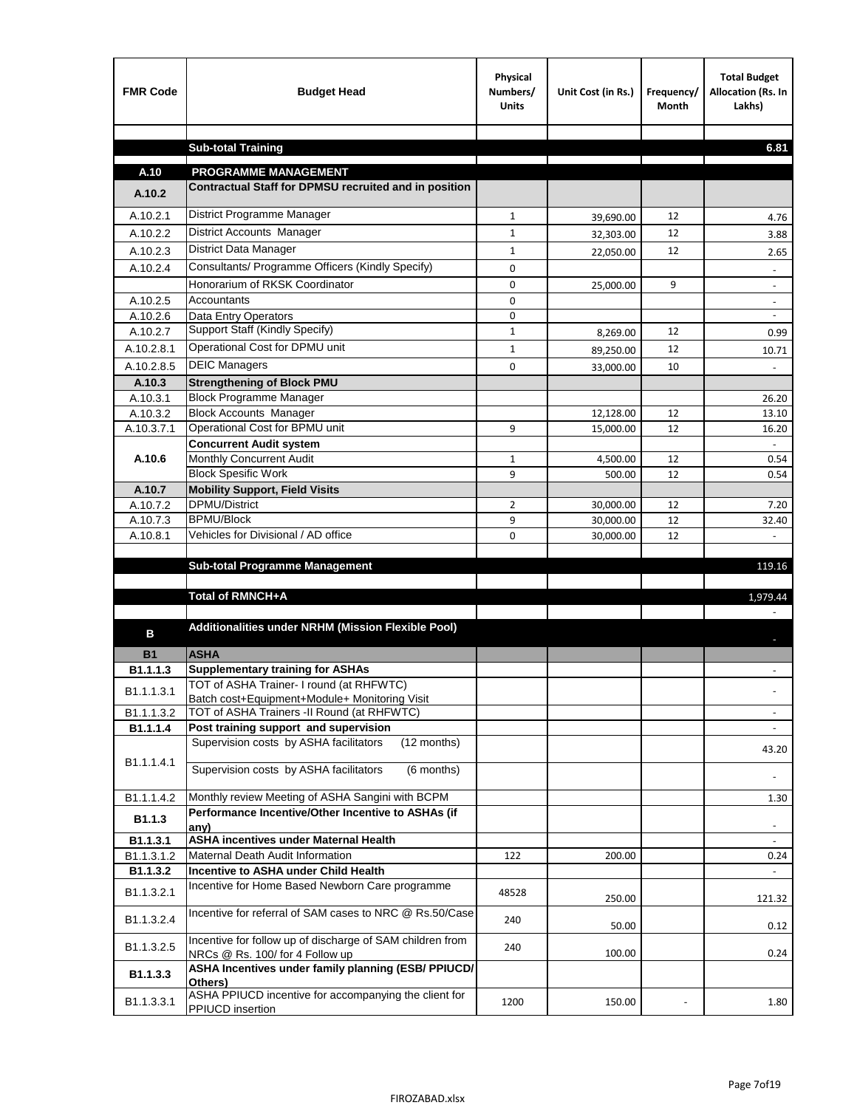| <b>FMR Code</b>      | <b>Budget Head</b>                                                                           | Physical<br>Numbers/<br><b>Units</b> | Unit Cost (in Rs.)     | Frequency/<br><b>Month</b> | <b>Total Budget</b><br>Allocation (Rs. In<br>Lakhs) |
|----------------------|----------------------------------------------------------------------------------------------|--------------------------------------|------------------------|----------------------------|-----------------------------------------------------|
|                      |                                                                                              |                                      |                        |                            |                                                     |
|                      | <b>Sub-total Training</b>                                                                    |                                      |                        |                            | 6.81                                                |
| A.10                 | <b>PROGRAMME MANAGEMENT</b>                                                                  |                                      |                        |                            |                                                     |
| A.10.2               | Contractual Staff for DPMSU recruited and in position                                        |                                      |                        |                            |                                                     |
| A.10.2.1             | District Programme Manager                                                                   |                                      |                        |                            |                                                     |
|                      | District Accounts Manager                                                                    | $\mathbf{1}$                         | 39,690.00              | 12                         | 4.76                                                |
| A.10.2.2             |                                                                                              | 1                                    | 32,303.00              | 12                         | 3.88                                                |
| A.10.2.3             | District Data Manager<br>Consultants/ Programme Officers (Kindly Specify)                    | $\mathbf{1}$                         | 22,050.00              | 12                         | 2.65                                                |
| A.10.2.4             | Honorarium of RKSK Coordinator                                                               | $\mathbf 0$                          |                        |                            |                                                     |
|                      |                                                                                              | 0                                    | 25,000.00              | 9                          | $\overline{\phantom{a}}$                            |
| A.10.2.5<br>A.10.2.6 | Accountants<br>Data Entry Operators                                                          | 0<br>0                               |                        |                            | $\overline{\phantom{a}}$                            |
| A.10.2.7             | Support Staff (Kindly Specify)                                                               | $\mathbf{1}$                         | 8,269.00               | 12                         | 0.99                                                |
| A.10.2.8.1           | Operational Cost for DPMU unit                                                               | $\mathbf{1}$                         |                        | 12                         |                                                     |
| A.10.2.8.5           | <b>DEIC Managers</b>                                                                         | $\mathbf 0$                          | 89,250.00              | 10                         | 10.71                                               |
| A.10.3               | <b>Strengthening of Block PMU</b>                                                            |                                      | 33,000.00              |                            |                                                     |
| A.10.3.1             | <b>Block Programme Manager</b>                                                               |                                      |                        |                            | 26.20                                               |
| A.10.3.2             | <b>Block Accounts Manager</b>                                                                |                                      | 12,128.00              | 12                         | 13.10                                               |
| A.10.3.7.1           | Operational Cost for BPMU unit                                                               | 9                                    | 15,000.00              | 12                         | 16.20                                               |
|                      | <b>Concurrent Audit system</b>                                                               |                                      |                        |                            |                                                     |
| A.10.6               | Monthly Concurrent Audit                                                                     | $\mathbf{1}$                         | 4,500.00               | 12                         | 0.54                                                |
|                      | <b>Block Spesific Work</b>                                                                   | 9                                    | 500.00                 | 12                         | 0.54                                                |
| A.10.7               | <b>Mobility Support, Field Visits</b>                                                        |                                      |                        |                            |                                                     |
| A.10.7.2             | <b>DPMU/District</b><br><b>BPMU/Block</b>                                                    | $\overline{2}$                       | 30,000.00              | 12                         | 7.20                                                |
| A.10.7.3<br>A.10.8.1 | Vehicles for Divisional / AD office                                                          | 9<br>0                               | 30,000.00<br>30,000.00 | 12<br>12                   | 32.40                                               |
|                      |                                                                                              |                                      |                        |                            |                                                     |
|                      | <b>Sub-total Programme Management</b>                                                        |                                      |                        |                            | 119.16                                              |
|                      |                                                                                              |                                      |                        |                            |                                                     |
|                      | Total of RMNCH+A                                                                             |                                      |                        |                            | 1,979.44                                            |
|                      |                                                                                              |                                      |                        |                            |                                                     |
| в                    | Additionalities under NRHM (Mission Flexible Pool)                                           |                                      |                        |                            |                                                     |
| <b>B1</b>            | <b>ASHA</b>                                                                                  |                                      |                        |                            |                                                     |
| B1.1.1.3             | <b>Supplementary training for ASHAs</b>                                                      |                                      |                        |                            |                                                     |
|                      | TOT of ASHA Trainer- I round (at RHFWTC)                                                     |                                      |                        |                            |                                                     |
| B1.1.1.3.1           | Batch cost+Equipment+Module+ Monitoring Visit                                                |                                      |                        |                            |                                                     |
| B1.1.1.3.2           | TOT of ASHA Trainers -II Round (at RHFWTC)                                                   |                                      |                        |                            |                                                     |
| B1.1.1.4             | Post training support and supervision                                                        |                                      |                        |                            | $\sim$                                              |
|                      | Supervision costs by ASHA facilitators<br>(12 months)                                        |                                      |                        |                            | 43.20                                               |
| B1.1.1.4.1           | Supervision costs by ASHA facilitators<br>(6 months)                                         |                                      |                        |                            |                                                     |
|                      |                                                                                              |                                      |                        |                            |                                                     |
| B1.1.1.4.2           | Monthly review Meeting of ASHA Sangini with BCPM                                             |                                      |                        |                            | 1.30                                                |
| B <sub>1.1.3</sub>   | Performance Incentive/Other Incentive to ASHAs (if                                           |                                      |                        |                            |                                                     |
| B1.1.3.1             | any)<br><b>ASHA incentives under Maternal Health</b>                                         |                                      |                        |                            |                                                     |
| B1.1.3.1.2           | Maternal Death Audit Information                                                             | 122                                  | 200.00                 |                            | 0.24                                                |
| B1.1.3.2             | Incentive to ASHA under Child Health                                                         |                                      |                        |                            | ÷.                                                  |
| B1.1.3.2.1           | Incentive for Home Based Newborn Care programme                                              | 48528                                | 250.00                 |                            | 121.32                                              |
| B1.1.3.2.4           | Incentive for referral of SAM cases to NRC @ Rs.50/Case                                      | 240                                  | 50.00                  |                            | 0.12                                                |
| B1.1.3.2.5           | Incentive for follow up of discharge of SAM children from<br>NRCs @ Rs. 100/ for 4 Follow up | 240                                  | 100.00                 |                            | 0.24                                                |
| B1.1.3.3             | ASHA Incentives under family planning (ESB/ PPIUCD/<br>Others)                               |                                      |                        |                            |                                                     |
| B1.1.3.3.1           | ASHA PPIUCD incentive for accompanying the client for<br>PPIUCD insertion                    | 1200                                 | 150.00                 |                            | 1.80                                                |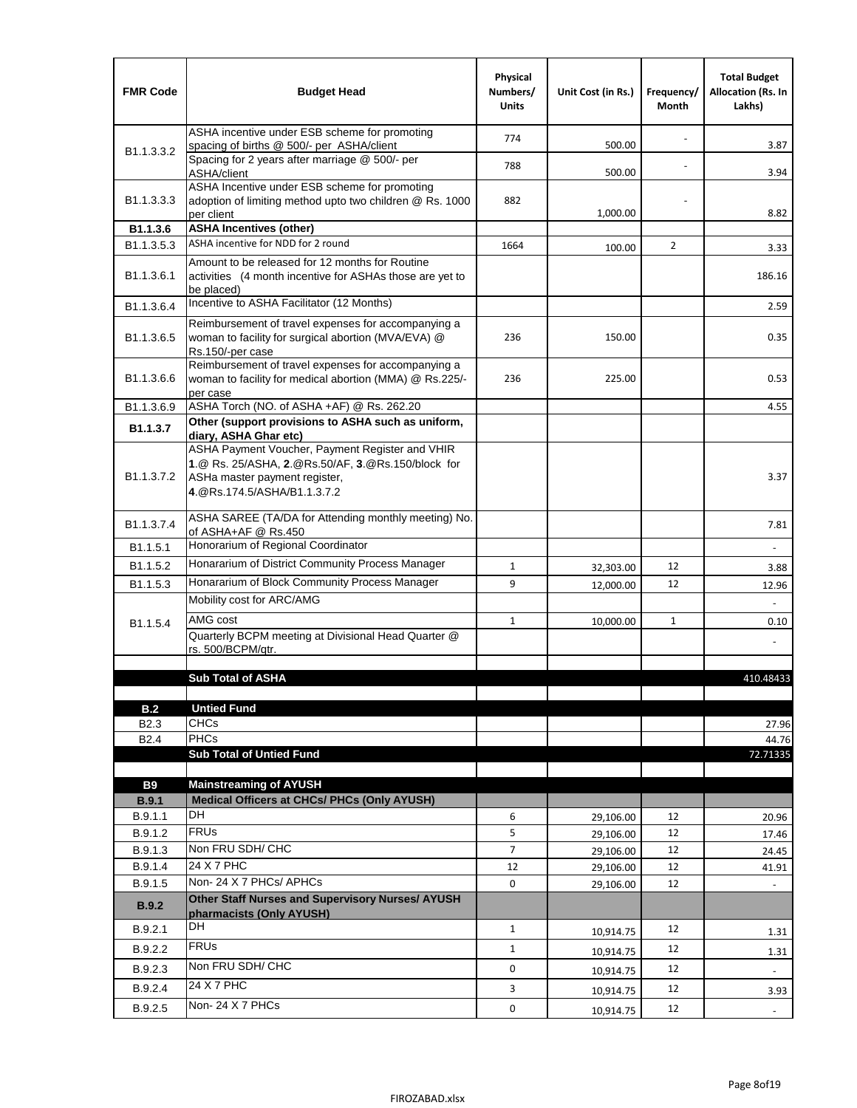| <b>FMR Code</b>            | <b>Budget Head</b>                                                                                                                                                    | Physical<br>Numbers/<br><b>Units</b> | Unit Cost (in Rs.) | Frequency/<br>Month | <b>Total Budget</b><br><b>Allocation (Rs. In</b><br>Lakhs) |
|----------------------------|-----------------------------------------------------------------------------------------------------------------------------------------------------------------------|--------------------------------------|--------------------|---------------------|------------------------------------------------------------|
|                            | ASHA incentive under ESB scheme for promoting<br>spacing of births @ 500/- per ASHA/client                                                                            | 774                                  | 500.00             |                     | 3.87                                                       |
| B <sub>1.1</sub> , 3, 3, 2 | Spacing for 2 years after marriage @ 500/- per<br>ASHA/client                                                                                                         | 788                                  | 500.00             |                     | 3.94                                                       |
| B1.1.3.3.3                 | ASHA Incentive under ESB scheme for promoting<br>adoption of limiting method upto two children @ Rs. 1000<br>per client                                               | 882                                  | 1,000.00           |                     | 8.82                                                       |
| B1.1.3.6                   | <b>ASHA Incentives (other)</b>                                                                                                                                        |                                      |                    |                     |                                                            |
| B <sub>1.1</sub> , 3, 5, 3 | ASHA incentive for NDD for 2 round                                                                                                                                    | 1664                                 | 100.00             | $\overline{2}$      | 3.33                                                       |
| B <sub>1.1</sub> .3.6.1    | Amount to be released for 12 months for Routine<br>activities (4 month incentive for ASHAs those are yet to<br>be placed)                                             |                                      |                    |                     | 186.16                                                     |
| B1.1.3.6.4                 | Incentive to ASHA Facilitator (12 Months)                                                                                                                             |                                      |                    |                     | 2.59                                                       |
| B <sub>1.1</sub> .3.6.5    | Reimbursement of travel expenses for accompanying a<br>woman to facility for surgical abortion (MVA/EVA) @<br>Rs.150/-per case                                        | 236                                  | 150.00             |                     | 0.35                                                       |
| B <sub>1.1</sub> .3.6.6    | Reimbursement of travel expenses for accompanying a<br>woman to facility for medical abortion (MMA) @ Rs.225/-<br>per case                                            | 236                                  | 225.00             |                     | 0.53                                                       |
| B1.1.3.6.9                 | ASHA Torch (NO. of ASHA +AF) @ Rs. 262.20                                                                                                                             |                                      |                    |                     | 4.55                                                       |
| B1.1.3.7                   | Other (support provisions to ASHA such as uniform,<br>diary, ASHA Ghar etc)                                                                                           |                                      |                    |                     |                                                            |
| B <sub>1.1</sub> .3.7.2    | ASHA Payment Voucher, Payment Register and VHIR<br>1.@ Rs. 25/ASHA, 2.@Rs.50/AF, 3.@Rs.150/block for<br>ASHa master payment register,<br>4. @Rs.174.5/ASHA/B1.1.3.7.2 |                                      |                    |                     | 3.37                                                       |
| B <sub>1.1</sub> , 3.7.4   | ASHA SAREE (TA/DA for Attending monthly meeting) No.<br>of ASHA+AF @ Rs.450                                                                                           |                                      |                    |                     | 7.81                                                       |
| B1.1.5.1                   | Honorarium of Regional Coordinator                                                                                                                                    |                                      |                    |                     |                                                            |
| B <sub>1.1.5.2</sub>       | Honararium of District Community Process Manager                                                                                                                      | $\mathbf{1}$                         | 32,303.00          | 12                  | 3.88                                                       |
| B1.1.5.3                   | Honararium of Block Community Process Manager                                                                                                                         | 9                                    | 12,000.00          | 12                  | 12.96                                                      |
|                            | Mobility cost for ARC/AMG                                                                                                                                             |                                      |                    |                     |                                                            |
| B <sub>1.1.5.4</sub>       | AMG cost                                                                                                                                                              | $\mathbf{1}$                         | 10,000.00          | $\mathbf{1}$        | 0.10                                                       |
|                            | Quarterly BCPM meeting at Divisional Head Quarter @                                                                                                                   |                                      |                    |                     |                                                            |
|                            | rs. 500/BCPM/atr.                                                                                                                                                     |                                      |                    |                     |                                                            |
|                            | <b>Sub Total of ASHA</b>                                                                                                                                              |                                      |                    |                     |                                                            |
|                            |                                                                                                                                                                       |                                      |                    |                     | 410.48433                                                  |
| B.2                        | <b>Untied Fund</b>                                                                                                                                                    |                                      |                    |                     |                                                            |
| B <sub>2.3</sub>           | <b>CHCs</b>                                                                                                                                                           |                                      |                    |                     | 27.96                                                      |
| B <sub>2.4</sub>           | <b>PHCs</b>                                                                                                                                                           |                                      |                    |                     | 44.76                                                      |
|                            | <b>Sub Total of Untied Fund</b>                                                                                                                                       |                                      |                    |                     | 72.71335                                                   |
| <b>B9</b>                  | <b>Mainstreaming of AYUSH</b>                                                                                                                                         |                                      |                    |                     |                                                            |
| B.9.1                      | Medical Officers at CHCs/ PHCs (Only AYUSH)                                                                                                                           |                                      |                    |                     |                                                            |
| B.9.1.1                    | <b>DH</b>                                                                                                                                                             | 6                                    | 29,106.00          | 12                  | 20.96                                                      |
| B.9.1.2                    | <b>FRUs</b>                                                                                                                                                           | 5                                    | 29,106.00          | 12                  | 17.46                                                      |
| B.9.1.3                    | Non FRU SDH/ CHC                                                                                                                                                      | $\overline{7}$                       | 29,106.00          | 12                  | 24.45                                                      |
| B.9.1.4                    | 24 X 7 PHC                                                                                                                                                            | 12                                   | 29,106.00          | 12                  | 41.91                                                      |
| B.9.1.5                    | Non-24 X 7 PHCs/ APHCs                                                                                                                                                | 0                                    | 29,106.00          | 12                  |                                                            |
| B.9.2                      | Other Staff Nurses and Supervisory Nurses/ AYUSH<br>pharmacists (Only AYUSH)                                                                                          |                                      |                    |                     |                                                            |
| B.9.2.1                    | DH                                                                                                                                                                    | $\mathbf{1}$                         | 10,914.75          | 12                  | 1.31                                                       |
| B.9.2.2                    | <b>FRUs</b>                                                                                                                                                           | $\mathbf{1}$                         | 10,914.75          | 12                  | 1.31                                                       |
| B.9.2.3                    | Non FRU SDH/ CHC                                                                                                                                                      | 0                                    | 10,914.75          | 12                  | $\overline{\phantom{a}}$                                   |
| B.9.2.4                    | 24 X 7 PHC                                                                                                                                                            | 3                                    |                    | 12                  |                                                            |
|                            | Non-24 X 7 PHCs                                                                                                                                                       |                                      | 10,914.75          |                     | 3.93                                                       |
| B.9.2.5                    |                                                                                                                                                                       | 0                                    | 10,914.75          | 12                  | $\overline{\phantom{a}}$                                   |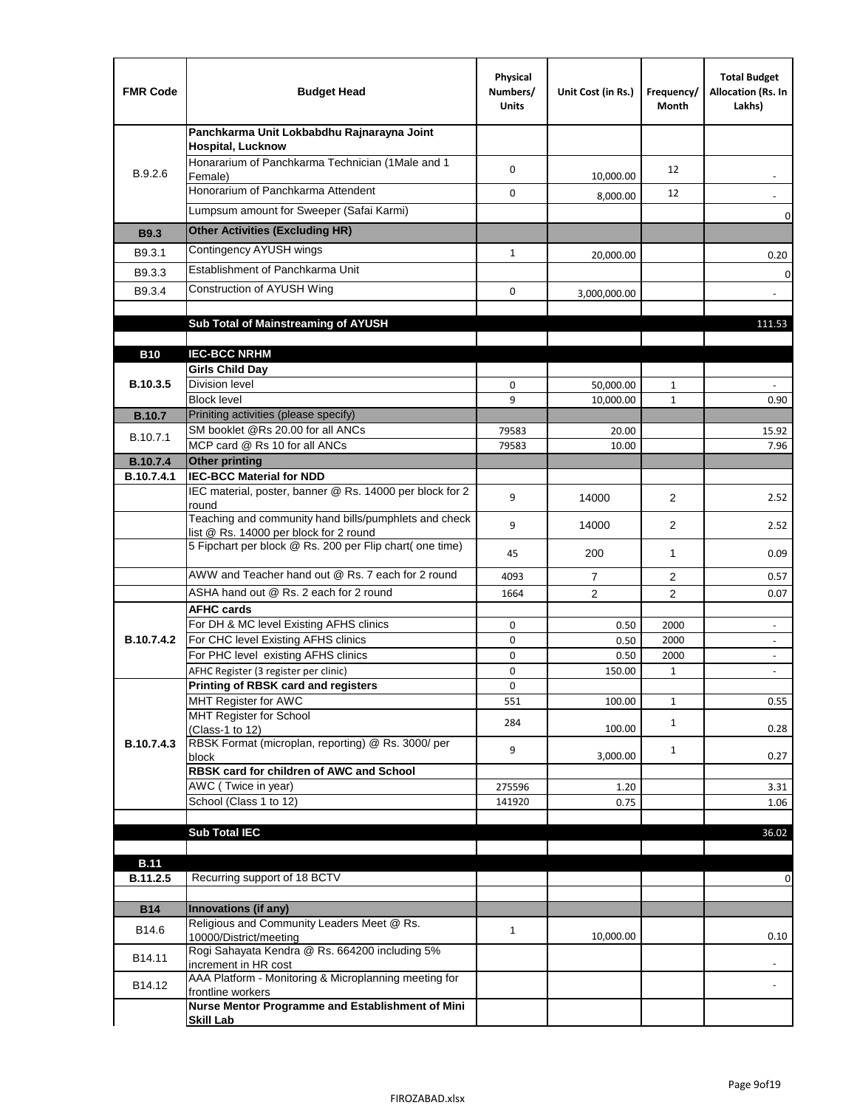| <b>FMR Code</b>   | <b>Budget Head</b>                                                                              | Physical<br>Numbers/<br><b>Units</b> | Unit Cost (in Rs.) | Frequency/<br>Month | <b>Total Budget</b><br>Allocation (Rs. In<br>Lakhs)  |
|-------------------|-------------------------------------------------------------------------------------------------|--------------------------------------|--------------------|---------------------|------------------------------------------------------|
|                   | Panchkarma Unit Lokbabdhu Rajnarayna Joint<br><b>Hospital, Lucknow</b>                          |                                      |                    |                     |                                                      |
| B.9.2.6           | Honararium of Panchkarma Technician (1Male and 1<br>Female)                                     | 0                                    | 10,000.00          | 12                  |                                                      |
|                   | Honorarium of Panchkarma Attendent                                                              | $\mathbf 0$                          | 8,000.00           | 12                  |                                                      |
|                   | Lumpsum amount for Sweeper (Safai Karmi)                                                        |                                      |                    |                     | 0                                                    |
| <b>B9.3</b>       | <b>Other Activities (Excluding HR)</b>                                                          |                                      |                    |                     |                                                      |
| B9.3.1            | Contingency AYUSH wings                                                                         | $\mathbf{1}$                         | 20,000.00          |                     | 0.20                                                 |
| B9.3.3            | Establishment of Panchkarma Unit                                                                |                                      |                    |                     | $\mathbf 0$                                          |
| B9.3.4            | Construction of AYUSH Wing                                                                      | 0                                    | 3,000,000.00       |                     |                                                      |
|                   |                                                                                                 |                                      |                    |                     |                                                      |
|                   | Sub Total of Mainstreaming of AYUSH                                                             |                                      |                    |                     | 111.53                                               |
| <b>B10</b>        | <b>IEC-BCC NRHM</b>                                                                             |                                      |                    |                     |                                                      |
|                   | <b>Girls Child Day</b>                                                                          |                                      |                    |                     |                                                      |
| B.10.3.5          | <b>Division level</b>                                                                           | 0                                    | 50,000.00          | 1                   |                                                      |
|                   | <b>Block level</b>                                                                              | 9                                    | 10,000.00          | $\mathbf{1}$        | 0.90                                                 |
| <b>B.10.7</b>     | Priniting activities (please specify)<br>SM booklet @Rs 20.00 for all ANCs                      |                                      |                    |                     |                                                      |
| B.10.7.1          | MCP card @ Rs 10 for all ANCs                                                                   | 79583<br>79583                       | 20.00<br>10.00     |                     | 15.92<br>7.96                                        |
| <b>B.10.7.4</b>   | <b>Other printing</b>                                                                           |                                      |                    |                     |                                                      |
| B.10.7.4.1        | <b>IEC-BCC Material for NDD</b>                                                                 |                                      |                    |                     |                                                      |
|                   | IEC material, poster, banner @ Rs. 14000 per block for 2<br>round                               | 9                                    | 14000              | $\overline{2}$      | 2.52                                                 |
|                   | Teaching and community hand bills/pumphlets and check<br>list @ Rs. 14000 per block for 2 round | 9                                    | 14000              | $\overline{2}$      | 2.52                                                 |
|                   | 5 Fipchart per block @ Rs. 200 per Flip chart( one time)                                        | 45                                   | 200                | 1                   | 0.09                                                 |
|                   | AWW and Teacher hand out @ Rs. 7 each for 2 round                                               | 4093                                 | $\overline{7}$     | 2                   | 0.57                                                 |
|                   | ASHA hand out @ Rs. 2 each for 2 round                                                          | 1664                                 | $\overline{2}$     | $\overline{2}$      | 0.07                                                 |
|                   | <b>AFHC cards</b><br>For DH & MC level Existing AFHS clinics                                    |                                      |                    |                     |                                                      |
| <b>B.10.7.4.2</b> | For CHC level Existing AFHS clinics                                                             | 0<br>0                               | 0.50<br>0.50       | 2000<br>2000        | $\overline{\phantom{a}}$<br>$\overline{\phantom{a}}$ |
|                   | For PHC level existing AFHS clinics                                                             | 0                                    | 0.50               | 2000                | $\bar{\phantom{a}}$                                  |
|                   | AFHC Register (3 register per clinic)                                                           | 0                                    | 150.00             | $\mathbf{1}$        | $\blacksquare$                                       |
|                   | Printing of RBSK card and registers                                                             | 0                                    |                    |                     |                                                      |
|                   | MHT Register for AWC<br>MHT Register for School                                                 | 551                                  | 100.00             | $\mathbf{1}$        | 0.55                                                 |
|                   | (Class-1 to 12)                                                                                 | 284                                  | 100.00             | $\mathbf{1}$        | 0.28                                                 |
| B.10.7.4.3        | RBSK Format (microplan, reporting) @ Rs. 3000/ per                                              | 9                                    |                    | $\mathbf{1}$        |                                                      |
|                   | block<br>RBSK card for children of AWC and School                                               |                                      | 3,000.00           |                     | 0.27                                                 |
|                   | AWC (Twice in year)                                                                             | 275596                               | 1.20               |                     | 3.31                                                 |
|                   | School (Class 1 to 12)                                                                          | 141920                               | 0.75               |                     | 1.06                                                 |
|                   | <b>Sub Total IEC</b>                                                                            |                                      |                    |                     |                                                      |
|                   |                                                                                                 |                                      |                    |                     | 36.02                                                |
| <b>B.11</b>       |                                                                                                 |                                      |                    |                     |                                                      |
| B.11.2.5          | Recurring support of 18 BCTV                                                                    |                                      |                    |                     | 0                                                    |
|                   |                                                                                                 |                                      |                    |                     |                                                      |
| <b>B14</b>        | Innovations (if any)<br>Religious and Community Leaders Meet @ Rs.                              |                                      |                    |                     |                                                      |
| B14.6             | 10000/District/meeting                                                                          | $\mathbf{1}$                         | 10,000.00          |                     | 0.10                                                 |
| B14.11            | Rogi Sahayata Kendra @ Rs. 664200 including 5%<br>increment in HR cost                          |                                      |                    |                     |                                                      |
| B14.12            | AAA Platform - Monitoring & Microplanning meeting for<br>frontline workers                      |                                      |                    |                     |                                                      |
|                   | Nurse Mentor Programme and Establishment of Mini                                                |                                      |                    |                     |                                                      |
|                   | <b>Skill Lab</b>                                                                                |                                      |                    |                     |                                                      |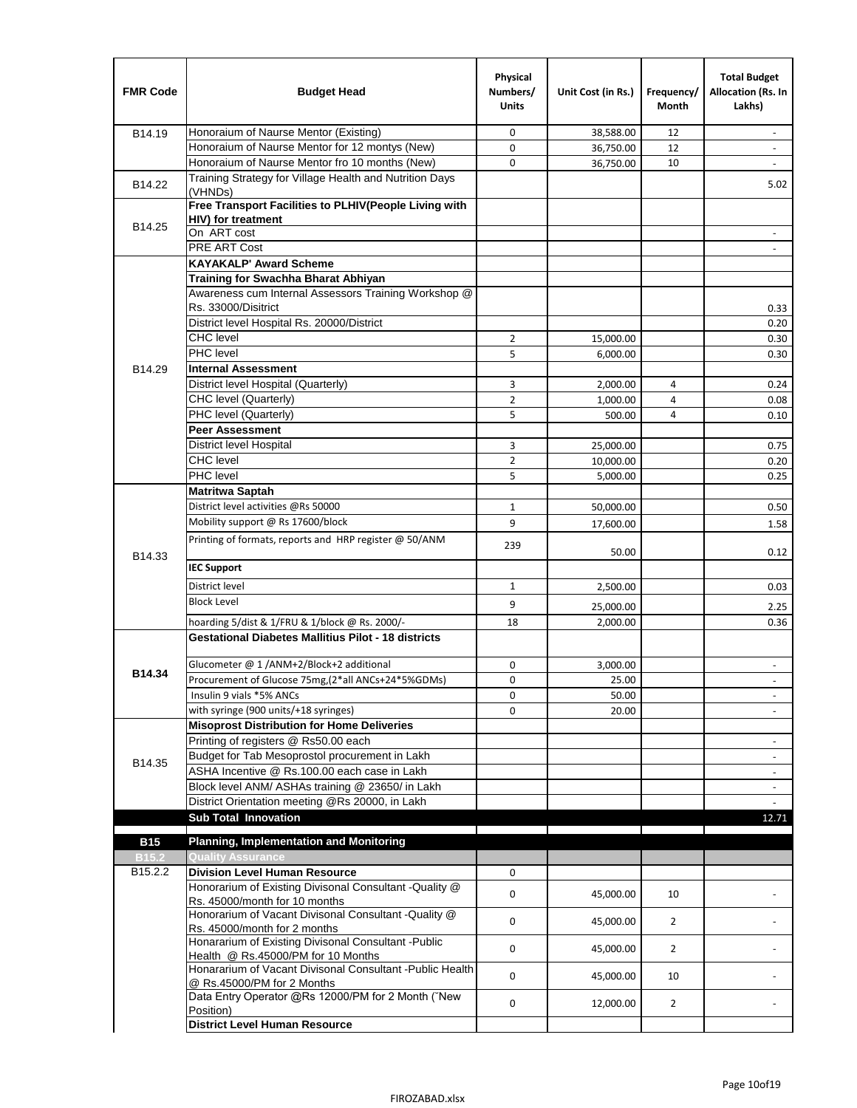| <b>FMR Code</b>     | <b>Budget Head</b>                                                                      | Physical<br>Numbers/<br><b>Units</b> | Unit Cost (in Rs.) | Frequency/<br>Month | <b>Total Budget</b><br>Allocation (Rs. In<br>Lakhs) |
|---------------------|-----------------------------------------------------------------------------------------|--------------------------------------|--------------------|---------------------|-----------------------------------------------------|
| B14.19              | Honoraium of Naurse Mentor (Existing)                                                   | 0                                    | 38,588.00          | 12                  |                                                     |
|                     | Honoraium of Naurse Mentor for 12 montys (New)                                          | 0                                    | 36,750.00          | 12                  | $\overline{a}$                                      |
|                     | Honoraium of Naurse Mentor fro 10 months (New)                                          | 0                                    | 36,750.00          | 10                  | $\overline{\phantom{a}}$                            |
| B14.22              | Training Strategy for Village Health and Nutrition Days<br>(VHNDs)                      |                                      |                    |                     | 5.02                                                |
|                     | Free Transport Facilities to PLHIV(People Living with                                   |                                      |                    |                     |                                                     |
| B14.25              | HIV) for treatment                                                                      |                                      |                    |                     |                                                     |
|                     | On ART cost                                                                             |                                      |                    |                     |                                                     |
|                     | <b>PRE ART Cost</b>                                                                     |                                      |                    |                     |                                                     |
|                     | <b>KAYAKALP' Award Scheme</b>                                                           |                                      |                    |                     |                                                     |
|                     | Training for Swachha Bharat Abhiyan                                                     |                                      |                    |                     |                                                     |
|                     | Awareness cum Internal Assessors Training Workshop @                                    |                                      |                    |                     |                                                     |
|                     | Rs. 33000/Disitrict                                                                     |                                      |                    |                     | 0.33                                                |
|                     | District level Hospital Rs. 20000/District                                              |                                      |                    |                     | 0.20                                                |
|                     | <b>CHC</b> level                                                                        | 2                                    | 15,000.00          |                     | 0.30                                                |
|                     | PHC level                                                                               | 5                                    | 6,000.00           |                     | 0.30                                                |
| B14.29              | <b>Internal Assessment</b>                                                              |                                      |                    |                     |                                                     |
|                     | District level Hospital (Quarterly)                                                     | 3                                    | 2,000.00           | 4                   | 0.24                                                |
|                     | CHC level (Quarterly)                                                                   | $\overline{2}$                       | 1,000.00           | $\overline{4}$      | 0.08                                                |
|                     | PHC level (Quarterly)                                                                   | 5                                    | 500.00             | 4                   | 0.10                                                |
|                     | <b>Peer Assessment</b>                                                                  |                                      |                    |                     |                                                     |
|                     | <b>District level Hospital</b>                                                          | 3                                    | 25,000.00          |                     | 0.75                                                |
|                     | <b>CHC</b> level                                                                        | $\overline{2}$                       | 10,000.00          |                     | 0.20                                                |
|                     | PHC level                                                                               | 5                                    | 5,000.00           |                     | 0.25                                                |
|                     | <b>Matritwa Saptah</b>                                                                  |                                      |                    |                     |                                                     |
|                     | District level activities @Rs 50000                                                     | 1                                    | 50,000.00          |                     | 0.50                                                |
|                     | Mobility support @ Rs 17600/block                                                       | 9                                    | 17,600.00          |                     | 1.58                                                |
| B14.33              | Printing of formats, reports and HRP register @ 50/ANM                                  | 239                                  | 50.00              |                     | 0.12                                                |
|                     | <b>IEC Support</b>                                                                      |                                      |                    |                     |                                                     |
|                     | District level                                                                          | 1                                    | 2,500.00           |                     | 0.03                                                |
|                     | <b>Block Level</b>                                                                      | 9                                    | 25,000.00          |                     | 2.25                                                |
|                     | hoarding 5/dist & 1/FRU & 1/block @ Rs. 2000/-                                          | 18                                   | 2,000.00           |                     | 0.36                                                |
|                     | <b>Gestational Diabetes Mallitius Pilot - 18 districts</b>                              |                                      |                    |                     |                                                     |
|                     | Glucometer @ 1 /ANM+2/Block+2 additional                                                | 0                                    |                    |                     |                                                     |
| B14.34              | Procurement of Glucose 75mg, (2*all ANCs+24*5%GDMs)                                     | 0                                    | 3,000.00           |                     |                                                     |
|                     | Insulin 9 vials *5% ANCs                                                                |                                      | 25.00              |                     |                                                     |
|                     | with syringe (900 units/+18 syringes)                                                   | 0<br>0                               | 50.00              |                     | $\blacksquare$                                      |
|                     | <b>Misoprost Distribution for Home Deliveries</b>                                       |                                      | 20.00              |                     |                                                     |
|                     | Printing of registers @ Rs50.00 each                                                    |                                      |                    |                     |                                                     |
|                     | Budget for Tab Mesoprostol procurement in Lakh                                          |                                      |                    |                     | $\overline{\phantom{a}}$<br>$\blacksquare$          |
| B14.35              | ASHA Incentive @ Rs.100.00 each case in Lakh                                            |                                      |                    |                     | $\overline{\phantom{a}}$                            |
|                     | Block level ANM/ ASHAs training @ 23650/ in Lakh                                        |                                      |                    |                     |                                                     |
|                     | District Orientation meeting @Rs 20000, in Lakh                                         |                                      |                    |                     | $\omega$                                            |
|                     | <b>Sub Total Innovation</b>                                                             |                                      |                    |                     | 12.71                                               |
| <b>B15</b>          | <b>Planning, Implementation and Monitoring</b>                                          |                                      |                    |                     |                                                     |
| <b>B15.2</b>        | <b>Quality Assurance</b>                                                                |                                      |                    |                     |                                                     |
| B <sub>15.2.2</sub> | <b>Division Level Human Resource</b>                                                    | 0                                    |                    |                     |                                                     |
|                     | Honorarium of Existing Divisonal Consultant - Quality @                                 |                                      |                    |                     |                                                     |
|                     | Rs. 45000/month for 10 months                                                           | 0                                    | 45,000.00          | 10                  |                                                     |
|                     | Honorarium of Vacant Divisonal Consultant - Quality @                                   | 0                                    |                    |                     |                                                     |
|                     | Rs. 45000/month for 2 months                                                            |                                      | 45,000.00          | $\overline{2}$      |                                                     |
|                     | Honararium of Existing Divisonal Consultant - Public                                    | 0                                    | 45,000.00          | $\overline{2}$      |                                                     |
|                     | Health @ Rs.45000/PM for 10 Months                                                      |                                      |                    |                     |                                                     |
|                     | Honararium of Vacant Divisonal Consultant - Public Health<br>@ Rs.45000/PM for 2 Months | 0                                    | 45,000.00          | 10                  |                                                     |
|                     | Data Entry Operator @Rs 12000/PM for 2 Month ("New<br>Position)                         | 0                                    | 12,000.00          | $\overline{2}$      |                                                     |
|                     | <b>District Level Human Resource</b>                                                    |                                      |                    |                     |                                                     |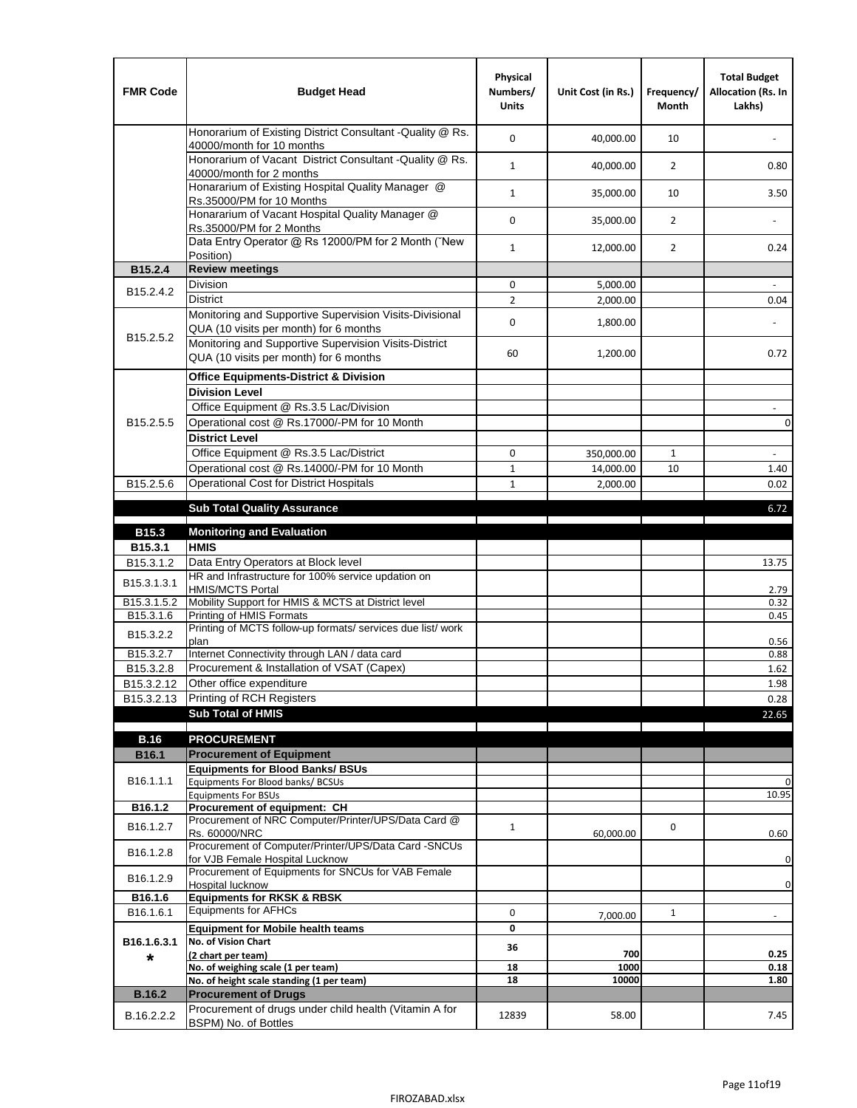| <b>FMR Code</b>         | <b>Budget Head</b>                                                                                | Physical<br>Numbers/<br><b>Units</b> | Unit Cost (in Rs.) | Frequency/<br><b>Month</b> | <b>Total Budget</b><br>Allocation (Rs. In<br>Lakhs) |
|-------------------------|---------------------------------------------------------------------------------------------------|--------------------------------------|--------------------|----------------------------|-----------------------------------------------------|
|                         | Honorarium of Existing District Consultant -Quality @ Rs.<br>40000/month for 10 months            | $\mathbf 0$                          | 40,000.00          | 10                         |                                                     |
|                         | Honorarium of Vacant District Consultant -Quality @ Rs.<br>40000/month for 2 months               | $\mathbf{1}$                         | 40,000.00          | $\overline{2}$             | 0.80                                                |
|                         | Honararium of Existing Hospital Quality Manager @<br>Rs.35000/PM for 10 Months                    | $\mathbf{1}$                         | 35,000.00          | 10                         | 3.50                                                |
|                         | Honararium of Vacant Hospital Quality Manager @<br>Rs.35000/PM for 2 Months                       | $\mathbf 0$                          | 35,000.00          | $\overline{2}$             |                                                     |
|                         | Data Entry Operator @ Rs 12000/PM for 2 Month ("New<br>Position)                                  | $\mathbf{1}$                         | 12,000.00          | $\overline{2}$             | 0.24                                                |
| B15.2.4                 | <b>Review meetings</b>                                                                            |                                      |                    |                            |                                                     |
| B <sub>15.2</sub> .4.2  | Division                                                                                          | 0                                    | 5,000.00           |                            |                                                     |
|                         | <b>District</b>                                                                                   | $\overline{2}$                       | 2,000.00           |                            | 0.04                                                |
| B15.2.5.2               | Monitoring and Supportive Supervision Visits-Divisional<br>QUA (10 visits per month) for 6 months | $\mathbf 0$                          | 1,800.00           |                            |                                                     |
|                         | Monitoring and Supportive Supervision Visits-District<br>QUA (10 visits per month) for 6 months   | 60                                   | 1,200.00           |                            | 0.72                                                |
|                         | <b>Office Equipments-District &amp; Division</b>                                                  |                                      |                    |                            |                                                     |
|                         | <b>Division Level</b>                                                                             |                                      |                    |                            |                                                     |
|                         | Office Equipment @ Rs.3.5 Lac/Division                                                            |                                      |                    |                            | $\overline{\phantom{a}}$                            |
| B15.2.5.5               | Operational cost @ Rs.17000/-PM for 10 Month                                                      |                                      |                    |                            | $\pmb{0}$                                           |
|                         | <b>District Level</b>                                                                             |                                      |                    |                            |                                                     |
|                         | Office Equipment @ Rs.3.5 Lac/District                                                            | 0                                    | 350,000.00         | 1                          | $\blacksquare$                                      |
|                         | Operational cost @ Rs.14000/-PM for 10 Month                                                      | $1\,$                                | 14,000.00          | 10                         | 1.40                                                |
| B15.2.5.6               | <b>Operational Cost for District Hospitals</b>                                                    | $\mathbf{1}$                         | 2,000.00           |                            | 0.02                                                |
|                         | <b>Sub Total Quality Assurance</b>                                                                |                                      |                    |                            | 6.72                                                |
| B15.3                   | <b>Monitoring and Evaluation</b>                                                                  |                                      |                    |                            |                                                     |
| B15.3.1                 | <b>HMIS</b>                                                                                       |                                      |                    |                            |                                                     |
| B15.3.1.2               | Data Entry Operators at Block level                                                               |                                      |                    |                            | 13.75                                               |
| B15.3.1.3.1             | HR and Infrastructure for 100% service updation on<br><b>HMIS/MCTS Portal</b>                     |                                      |                    |                            | 2.79                                                |
| B <sub>15.3.1.5.2</sub> | Mobility Support for HMIS & MCTS at District level                                                |                                      |                    |                            | 0.32                                                |
| B15.3.1.6               | Printing of HMIS Formats<br>Printing of MCTS follow-up formats/ services due list/ work           |                                      |                    |                            | 0.45                                                |
| B15.3.2.2               | plan                                                                                              |                                      |                    |                            | 0.56                                                |
| B15.3.2.7               | Internet Connectivity through LAN / data card                                                     |                                      |                    |                            | 0.88                                                |
| B15.3.2.8               | Procurement & Installation of VSAT (Capex)                                                        |                                      |                    |                            | 1.62                                                |
| B15.3.2.12              | Other office expenditure                                                                          |                                      |                    |                            | 1.98                                                |
| B15.3.2.13              | Printing of RCH Registers                                                                         |                                      |                    |                            | 0.28                                                |
|                         | <b>Sub Total of HMIS</b>                                                                          |                                      |                    |                            | 22.65                                               |
| <b>B.16</b>             | <b>PROCUREMENT</b>                                                                                |                                      |                    |                            |                                                     |
| B16.1                   | <b>Procurement of Equipment</b>                                                                   |                                      |                    |                            |                                                     |
|                         | <b>Equipments for Blood Banks/ BSUs</b>                                                           |                                      |                    |                            |                                                     |
| B16.1.1.1               | Equipments For Blood banks/ BCSUs                                                                 |                                      |                    |                            | 0                                                   |
| B16.1.2                 | <b>Equipments For BSUs</b><br>Procurement of equipment: CH                                        |                                      |                    |                            | 10.95                                               |
| B16.1.2.7               | Procurement of NRC Computer/Printer/UPS/Data Card @                                               | $\mathbf{1}$                         |                    |                            |                                                     |
|                         | Rs. 60000/NRC                                                                                     |                                      | 60,000.00          | 0                          | 0.60                                                |
| B16.1.2.8               | Procurement of Computer/Printer/UPS/Data Card -SNCUs                                              |                                      |                    |                            |                                                     |
|                         | for VJB Female Hospital Lucknow<br>Procurement of Equipments for SNCUs for VAB Female             |                                      |                    |                            | 0                                                   |
| B16.1.2.9               | Hospital lucknow                                                                                  |                                      |                    |                            | 0                                                   |
| B16.1.6                 | <b>Equipments for RKSK &amp; RBSK</b>                                                             |                                      |                    |                            |                                                     |
| B16.1.6.1               | <b>Equipments for AFHCs</b>                                                                       | 0                                    | 7,000.00           | $\mathbf{1}$               | ÷,                                                  |
|                         | <b>Equipment for Mobile health teams</b>                                                          | 0                                    |                    |                            |                                                     |
| B16.1.6.3.1             | No. of Vision Chart<br>(2 chart per team)                                                         | 36                                   | 700                |                            | 0.25                                                |
| *                       | No. of weighing scale (1 per team)                                                                | 18                                   | 1000               |                            | 0.18                                                |
|                         | No. of height scale standing (1 per team)                                                         | 18                                   | 10000              |                            | 1.80                                                |
| <b>B.16.2</b>           | <b>Procurement of Drugs</b>                                                                       |                                      |                    |                            |                                                     |
| B.16.2.2.2              | Procurement of drugs under child health (Vitamin A for<br>BSPM) No. of Bottles                    | 12839                                | 58.00              |                            | 7.45                                                |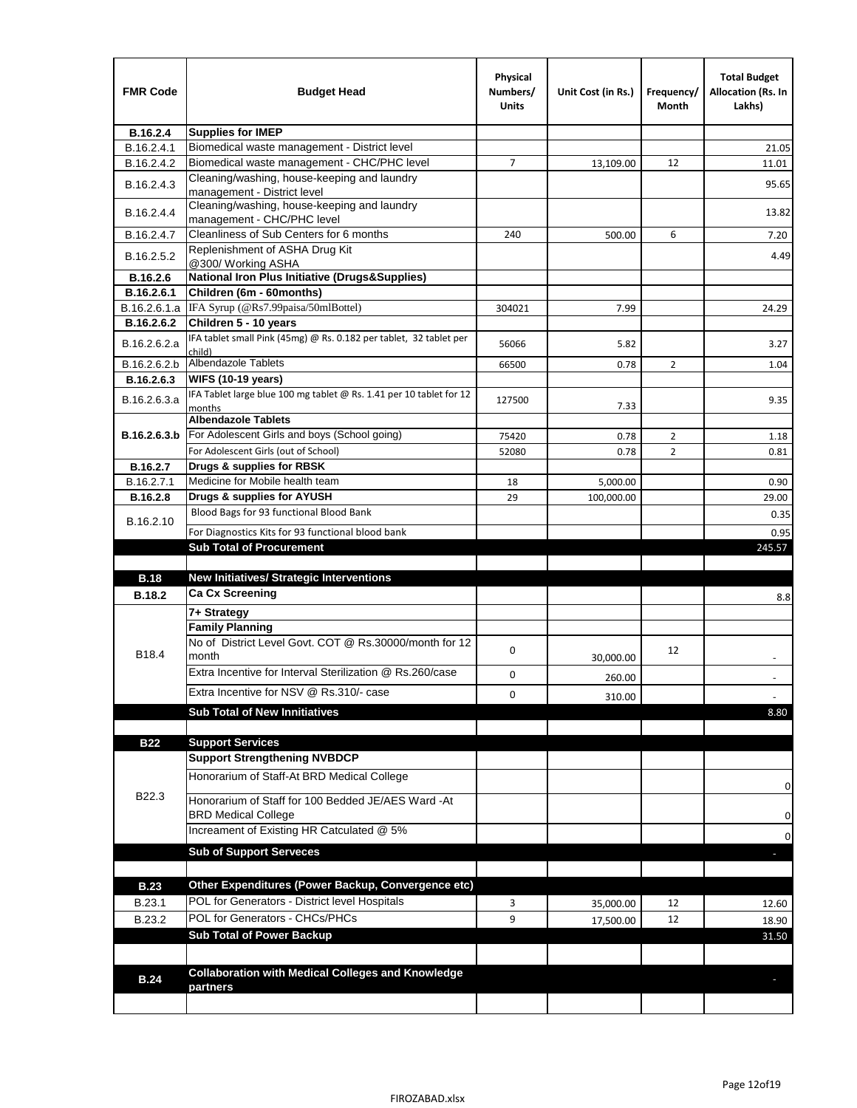| <b>FMR Code</b> | <b>Budget Head</b>                                                                | Physical<br>Numbers/<br><b>Units</b> | Unit Cost (in Rs.) | Frequency/<br>Month | <b>Total Budget</b><br><b>Allocation (Rs. In</b><br>Lakhs) |
|-----------------|-----------------------------------------------------------------------------------|--------------------------------------|--------------------|---------------------|------------------------------------------------------------|
| B.16.2.4        | <b>Supplies for IMEP</b>                                                          |                                      |                    |                     |                                                            |
| B.16.2.4.1      | Biomedical waste management - District level                                      |                                      |                    |                     | 21.05                                                      |
| B.16.2.4.2      | Biomedical waste management - CHC/PHC level                                       | 7                                    | 13,109.00          | 12                  | 11.01                                                      |
| B.16.2.4.3      | Cleaning/washing, house-keeping and laundry<br>management - District level        |                                      |                    |                     | 95.65                                                      |
| B.16.2.4.4      | Cleaning/washing, house-keeping and laundry<br>management - CHC/PHC level         |                                      |                    |                     | 13.82                                                      |
| B.16.2.4.7      | Cleanliness of Sub Centers for 6 months                                           | 240                                  | 500.00             | 6                   | 7.20                                                       |
| B.16.2.5.2      | Replenishment of ASHA Drug Kit<br>@300/ Working ASHA                              |                                      |                    |                     | 4.49                                                       |
| B.16.2.6        | <b>National Iron Plus Initiative (Drugs&amp;Supplies)</b>                         |                                      |                    |                     |                                                            |
| B.16.2.6.1      | Children (6m - 60months)                                                          |                                      |                    |                     |                                                            |
| B.16.2.6.1.a    | IFA Syrup (@Rs7.99paisa/50mlBottel)                                               | 304021                               | 7.99               |                     | 24.29                                                      |
| B.16.2.6.2      | Children 5 - 10 years                                                             |                                      |                    |                     |                                                            |
| B.16.2.6.2.a    | IFA tablet small Pink (45mg) @ Rs. 0.182 per tablet, 32 tablet per<br>child)      | 56066                                | 5.82               |                     | 3.27                                                       |
| B.16.2.6.2.b    | Albendazole Tablets                                                               | 66500                                | 0.78               | 2                   | 1.04                                                       |
| B.16.2.6.3      | <b>WIFS (10-19 years)</b>                                                         |                                      |                    |                     |                                                            |
| B.16.2.6.3.a    | IFA Tablet large blue 100 mg tablet @ Rs. 1.41 per 10 tablet for 12<br>months     | 127500                               | 7.33               |                     | 9.35                                                       |
|                 | <b>Albendazole Tablets</b>                                                        |                                      |                    |                     |                                                            |
| B.16.2.6.3.b    | For Adolescent Girls and boys (School going)                                      | 75420                                | 0.78               | $\overline{2}$      | 1.18                                                       |
|                 | For Adolescent Girls (out of School)                                              | 52080                                | 0.78               | $\overline{2}$      | 0.81                                                       |
| B.16.2.7        | Drugs & supplies for RBSK                                                         |                                      |                    |                     |                                                            |
| B.16.2.7.1      | Medicine for Mobile health team                                                   | 18                                   | 5,000.00           |                     | 0.90                                                       |
| <b>B.16.2.8</b> | Drugs & supplies for AYUSH                                                        | 29                                   | 100,000.00         |                     | 29.00                                                      |
| B.16.2.10       | Blood Bags for 93 functional Blood Bank                                           |                                      |                    |                     | 0.35                                                       |
|                 | For Diagnostics Kits for 93 functional blood bank                                 |                                      |                    |                     | 0.95                                                       |
|                 | <b>Sub Total of Procurement</b>                                                   |                                      |                    |                     | 245.57                                                     |
|                 |                                                                                   |                                      |                    |                     |                                                            |
| <b>B.18</b>     | <b>New Initiatives/ Strategic Interventions</b>                                   |                                      |                    |                     |                                                            |
| <b>B.18.2</b>   | <b>Ca Cx Screening</b>                                                            |                                      |                    |                     | 8.8                                                        |
|                 | 7+ Strategy                                                                       |                                      |                    |                     |                                                            |
| B18.4           | <b>Family Planning</b><br>No of District Level Govt. COT @ Rs.30000/month for 12  | 0                                    |                    | 12                  |                                                            |
|                 | month<br>Extra Incentive for Interval Sterilization @ Rs.260/case                 |                                      | 30,000.00          |                     |                                                            |
|                 |                                                                                   | 0                                    | 260.00             |                     |                                                            |
|                 | Extra Incentive for NSV @ Rs.310/- case                                           | 0                                    | 310.00             |                     |                                                            |
|                 | <b>Sub Total of New Innitiatives</b>                                              |                                      |                    |                     | 8.80                                                       |
|                 |                                                                                   |                                      |                    |                     |                                                            |
| <b>B22</b>      | <b>Support Services</b>                                                           |                                      |                    |                     |                                                            |
|                 | <b>Support Strengthening NVBDCP</b><br>Honorarium of Staff-At BRD Medical College |                                      |                    |                     |                                                            |
| B22.3           | Honorarium of Staff for 100 Bedded JE/AES Ward -At                                |                                      |                    |                     | 0                                                          |
|                 | <b>BRD Medical College</b><br>Increament of Existing HR Catculated @ 5%           |                                      |                    |                     | 0<br>0                                                     |
|                 | <b>Sub of Support Serveces</b>                                                    |                                      |                    |                     |                                                            |
|                 |                                                                                   |                                      |                    |                     |                                                            |
| <b>B.23</b>     | Other Expenditures (Power Backup, Convergence etc)                                |                                      |                    |                     |                                                            |
| B.23.1          | POL for Generators - District level Hospitals                                     | 3                                    | 35,000.00          | 12                  | 12.60                                                      |
| B.23.2          | POL for Generators - CHCs/PHCs                                                    | 9                                    | 17,500.00          | 12                  | 18.90                                                      |
|                 | <b>Sub Total of Power Backup</b>                                                  |                                      |                    |                     | 31.50                                                      |
|                 |                                                                                   |                                      |                    |                     |                                                            |
| <b>B.24</b>     | <b>Collaboration with Medical Colleges and Knowledge</b>                          |                                      |                    |                     |                                                            |
|                 | partners                                                                          |                                      |                    |                     |                                                            |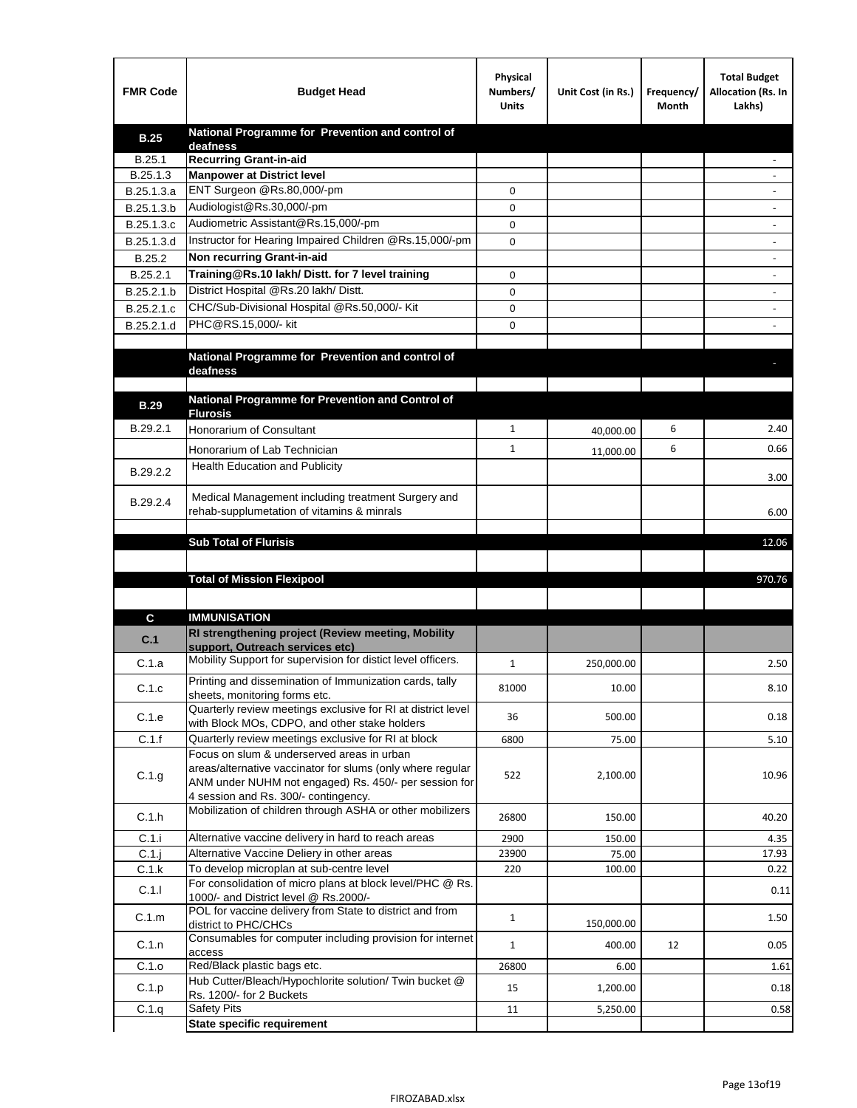| <b>FMR Code</b> | <b>Budget Head</b>                                                                                            | Physical<br>Numbers/<br><b>Units</b> | Unit Cost (in Rs.) | Frequency/<br>Month | <b>Total Budget</b><br>Allocation (Rs. In<br>Lakhs) |
|-----------------|---------------------------------------------------------------------------------------------------------------|--------------------------------------|--------------------|---------------------|-----------------------------------------------------|
| <b>B.25</b>     | National Programme for Prevention and control of                                                              |                                      |                    |                     |                                                     |
| B.25.1          | deafness<br><b>Recurring Grant-in-aid</b>                                                                     |                                      |                    |                     |                                                     |
| B.25.1.3        | <b>Manpower at District level</b>                                                                             |                                      |                    |                     |                                                     |
| B.25.1.3.a      | ENT Surgeon @Rs.80,000/-pm                                                                                    | 0                                    |                    |                     |                                                     |
| B.25.1.3.b      | Audiologist@Rs.30,000/-pm                                                                                     | 0                                    |                    |                     |                                                     |
| B.25.1.3.c      | Audiometric Assistant@Rs.15,000/-pm                                                                           | 0                                    |                    |                     |                                                     |
| B.25.1.3.d      | Instructor for Hearing Impaired Children @Rs.15,000/-pm                                                       | 0                                    |                    |                     |                                                     |
| B.25.2          | Non recurring Grant-in-aid                                                                                    |                                      |                    |                     |                                                     |
| B.25.2.1        | Training@Rs.10 lakh/ Distt. for 7 level training                                                              | 0                                    |                    |                     |                                                     |
| B.25.2.1.b      | District Hospital @Rs.20 lakh/Distt.                                                                          | 0                                    |                    |                     |                                                     |
| B.25.2.1.c      | CHC/Sub-Divisional Hospital @Rs.50,000/- Kit                                                                  | 0                                    |                    |                     |                                                     |
| B.25.2.1.d      | PHC@RS.15,000/- kit                                                                                           | 0                                    |                    |                     |                                                     |
|                 |                                                                                                               |                                      |                    |                     |                                                     |
|                 | National Programme for Prevention and control of<br>deafness                                                  |                                      |                    |                     |                                                     |
|                 |                                                                                                               |                                      |                    |                     |                                                     |
| <b>B.29</b>     | National Programme for Prevention and Control of                                                              |                                      |                    |                     |                                                     |
|                 | <b>Flurosis</b>                                                                                               |                                      |                    |                     |                                                     |
| B.29.2.1        | Honorarium of Consultant                                                                                      | $\mathbf{1}$                         | 40,000.00          | 6                   | 2.40                                                |
|                 | Honorarium of Lab Technician                                                                                  | $\mathbf{1}$                         | 11,000.00          | 6                   | 0.66                                                |
| B.29.2.2        | <b>Health Education and Publicity</b>                                                                         |                                      |                    |                     |                                                     |
|                 |                                                                                                               |                                      |                    |                     | 3.00                                                |
| B.29.2.4        | Medical Management including treatment Surgery and                                                            |                                      |                    |                     |                                                     |
|                 | rehab-supplumetation of vitamins & minrals                                                                    |                                      |                    |                     | 6.00                                                |
|                 | <b>Sub Total of Flurisis</b>                                                                                  |                                      |                    |                     | 12.06                                               |
|                 |                                                                                                               |                                      |                    |                     |                                                     |
|                 | <b>Total of Mission Flexipool</b>                                                                             |                                      |                    |                     | 970.76                                              |
|                 |                                                                                                               |                                      |                    |                     |                                                     |
| С               | <b>IMMUNISATION</b>                                                                                           |                                      |                    |                     |                                                     |
|                 | RI strengthening project (Review meeting, Mobility                                                            |                                      |                    |                     |                                                     |
| C.1             | support, Outreach services etc)                                                                               |                                      |                    |                     |                                                     |
| C.1.a           | Mobility Support for supervision for distict level officers.                                                  | $\mathbf{1}$                         | 250,000.00         |                     | 2.50                                                |
| C.1.c           | Printing and dissemination of Immunization cards, tally                                                       | 81000                                | 10.00              |                     | 8.10                                                |
|                 | sheets, monitoring forms etc.                                                                                 |                                      |                    |                     |                                                     |
| C.1.e           | Quarterly review meetings exclusive for RI at district level<br>with Block MOs, CDPO, and other stake holders | 36                                   | 500.00             |                     | 0.18                                                |
| C.1.f           | Quarterly review meetings exclusive for RI at block                                                           | 6800                                 | 75.00              |                     | 5.10                                                |
|                 | Focus on slum & underserved areas in urban                                                                    |                                      |                    |                     |                                                     |
| C.1.g           | areas/alternative vaccinator for slums (only where regular                                                    | 522                                  | 2,100.00           |                     | 10.96                                               |
|                 | ANM under NUHM not engaged) Rs. 450/- per session for<br>4 session and Rs. 300/- contingency.                 |                                      |                    |                     |                                                     |
|                 | Mobilization of children through ASHA or other mobilizers                                                     |                                      |                    |                     |                                                     |
| C.1.h           |                                                                                                               | 26800                                | 150.00             |                     | 40.20                                               |
| C.1.i           | Alternative vaccine delivery in hard to reach areas                                                           | 2900                                 | 150.00             |                     | 4.35                                                |
| $C.1$ .j        | Alternative Vaccine Deliery in other areas                                                                    | 23900                                | 75.00              |                     | 17.93                                               |
| C.1.k           | To develop microplan at sub-centre level<br>For consolidation of micro plans at block level/PHC @ Rs.         | 220                                  | 100.00             |                     | 0.22                                                |
| C.1.1           | 1000/- and District level @ Rs.2000/-                                                                         |                                      |                    |                     | 0.11                                                |
| C.1.m           | POL for vaccine delivery from State to district and from                                                      | $\mathbf{1}$                         |                    |                     | 1.50                                                |
|                 | district to PHC/CHCs                                                                                          |                                      | 150,000.00         |                     |                                                     |
| C.1.n           | Consumables for computer including provision for internet<br>access                                           | $\mathbf{1}$                         | 400.00             | 12                  | 0.05                                                |
| C.1.o           | Red/Black plastic bags etc.                                                                                   | 26800                                | 6.00               |                     | 1.61                                                |
| C.1.p           | Hub Cutter/Bleach/Hypochlorite solution/ Twin bucket @                                                        | 15                                   | 1,200.00           |                     | 0.18                                                |
|                 | Rs. 1200/- for 2 Buckets                                                                                      |                                      |                    |                     |                                                     |
| C.1.q           | <b>Safety Pits</b>                                                                                            | 11                                   | 5,250.00           |                     | 0.58                                                |
|                 | <b>State specific requirement</b>                                                                             |                                      |                    |                     |                                                     |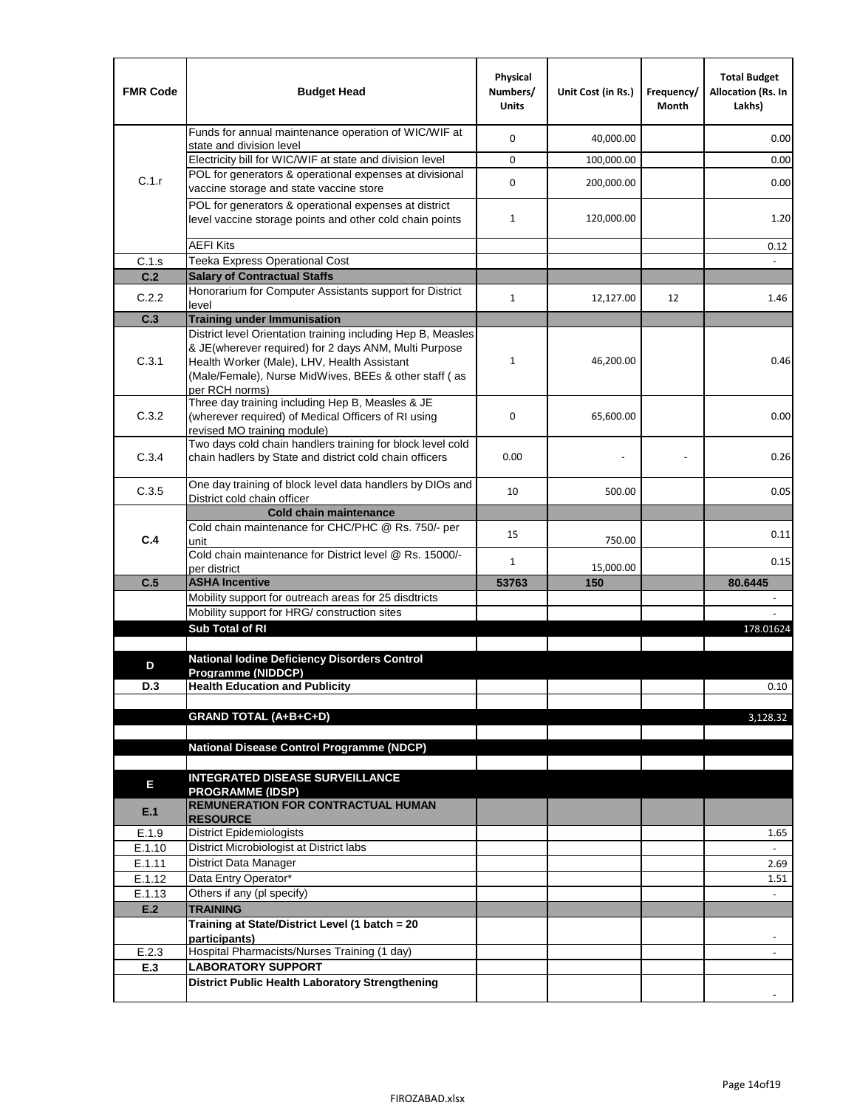| <b>FMR Code</b>  | <b>Budget Head</b>                                                                                                                                                              | Physical<br>Numbers/<br><b>Units</b> | Unit Cost (in Rs.) | Frequency/<br>Month | <b>Total Budget</b><br><b>Allocation (Rs. In</b><br>Lakhs) |
|------------------|---------------------------------------------------------------------------------------------------------------------------------------------------------------------------------|--------------------------------------|--------------------|---------------------|------------------------------------------------------------|
|                  | Funds for annual maintenance operation of WIC/WIF at<br>state and division level                                                                                                | $\mathbf 0$                          | 40,000.00          |                     | 0.00                                                       |
|                  | Electricity bill for WIC/WIF at state and division level                                                                                                                        | $\mathbf 0$                          | 100,000.00         |                     | 0.00                                                       |
| C.1.r            | POL for generators & operational expenses at divisional                                                                                                                         | $\mathbf 0$                          |                    |                     |                                                            |
|                  | vaccine storage and state vaccine store                                                                                                                                         |                                      | 200,000.00         |                     | 0.00                                                       |
|                  | POL for generators & operational expenses at district<br>level vaccine storage points and other cold chain points                                                               | $\mathbf{1}$                         | 120,000.00         |                     | 1.20                                                       |
|                  | <b>AEFI Kits</b>                                                                                                                                                                |                                      |                    |                     | 0.12                                                       |
| C.1.s            | Teeka Express Operational Cost                                                                                                                                                  |                                      |                    |                     |                                                            |
| C.2              | <b>Salary of Contractual Staffs</b>                                                                                                                                             |                                      |                    |                     |                                                            |
| C.2.2            | Honorarium for Computer Assistants support for District<br>level                                                                                                                | $\mathbf{1}$                         | 12,127.00          | 12                  | 1.46                                                       |
| C.3              | <b>Training under Immunisation</b>                                                                                                                                              |                                      |                    |                     |                                                            |
|                  | District level Orientation training including Hep B, Measles                                                                                                                    |                                      |                    |                     |                                                            |
| C.3.1            | & JE(wherever required) for 2 days ANM, Multi Purpose<br>Health Worker (Male), LHV, Health Assistant<br>(Male/Female), Nurse MidWives, BEEs & other staff (as<br>per RCH norms) | 1                                    | 46,200.00          |                     | 0.46                                                       |
| C.3.2            | Three day training including Hep B, Measles & JE<br>(wherever required) of Medical Officers of RI using<br>revised MO training module)                                          | $\mathbf 0$                          | 65,600.00          |                     | 0.00                                                       |
| C.3.4            | Two days cold chain handlers training for block level cold<br>chain hadlers by State and district cold chain officers                                                           | 0.00                                 |                    |                     | 0.26                                                       |
| C.3.5            | One day training of block level data handlers by DIOs and<br>District cold chain officer                                                                                        | 10                                   | 500.00             |                     | 0.05                                                       |
|                  | <b>Cold chain maintenance</b>                                                                                                                                                   |                                      |                    |                     |                                                            |
| C.4              | Cold chain maintenance for CHC/PHC @ Rs. 750/- per<br>unit                                                                                                                      | 15                                   | 750.00             |                     | 0.11                                                       |
|                  | Cold chain maintenance for District level @ Rs. 15000/-<br>per district                                                                                                         | $\mathbf{1}$                         | 15,000.00          |                     | 0.15                                                       |
| C.5              | <b>ASHA Incentive</b>                                                                                                                                                           | 53763                                | 150                |                     | 80.6445                                                    |
|                  | Mobility support for outreach areas for 25 disdtricts                                                                                                                           |                                      |                    |                     |                                                            |
|                  | Mobility support for HRG/ construction sites                                                                                                                                    |                                      |                    |                     |                                                            |
|                  | Sub Total of RI                                                                                                                                                                 |                                      |                    |                     | 178.01624                                                  |
| D                | <b>National Iodine Deficiency Disorders Control</b>                                                                                                                             |                                      |                    |                     |                                                            |
| D.3              | Programme (NIDDCP)<br><b>Health Education and Publicity</b>                                                                                                                     |                                      |                    |                     | 0.10                                                       |
|                  |                                                                                                                                                                                 |                                      |                    |                     |                                                            |
|                  | <b>GRAND TOTAL (A+B+C+D)</b>                                                                                                                                                    |                                      |                    |                     | 3,128.32                                                   |
|                  |                                                                                                                                                                                 |                                      |                    |                     |                                                            |
|                  | National Disease Control Programme (NDCP)                                                                                                                                       |                                      |                    |                     |                                                            |
|                  |                                                                                                                                                                                 |                                      |                    |                     |                                                            |
| Е                | <b>INTEGRATED DISEASE SURVEILLANCE</b><br><b>PROGRAMME (IDSP)</b>                                                                                                               |                                      |                    |                     |                                                            |
| E.1              | REMUNERATION FOR CONTRACTUAL HUMAN<br><b>RESOURCE</b>                                                                                                                           |                                      |                    |                     |                                                            |
| E.1.9            | District Epidemiologists                                                                                                                                                        |                                      |                    |                     | 1.65                                                       |
| E.1.10           | District Microbiologist at District labs                                                                                                                                        |                                      |                    |                     |                                                            |
| E.1.11<br>E.1.12 | District Data Manager<br>Data Entry Operator*                                                                                                                                   |                                      |                    |                     | 2.69                                                       |
| E.1.13           | Others if any (pl specify)                                                                                                                                                      |                                      |                    |                     | 1.51<br>$\omega$                                           |
| E.2              | <b>TRAINING</b>                                                                                                                                                                 |                                      |                    |                     |                                                            |
|                  | Training at State/District Level (1 batch = 20                                                                                                                                  |                                      |                    |                     |                                                            |
|                  | participants)                                                                                                                                                                   |                                      |                    |                     |                                                            |
| E.2.3            | Hospital Pharmacists/Nurses Training (1 day)                                                                                                                                    |                                      |                    |                     |                                                            |
| E.3              | <b>LABORATORY SUPPORT</b>                                                                                                                                                       |                                      |                    |                     |                                                            |
|                  | <b>District Public Health Laboratory Strengthening</b>                                                                                                                          |                                      |                    |                     |                                                            |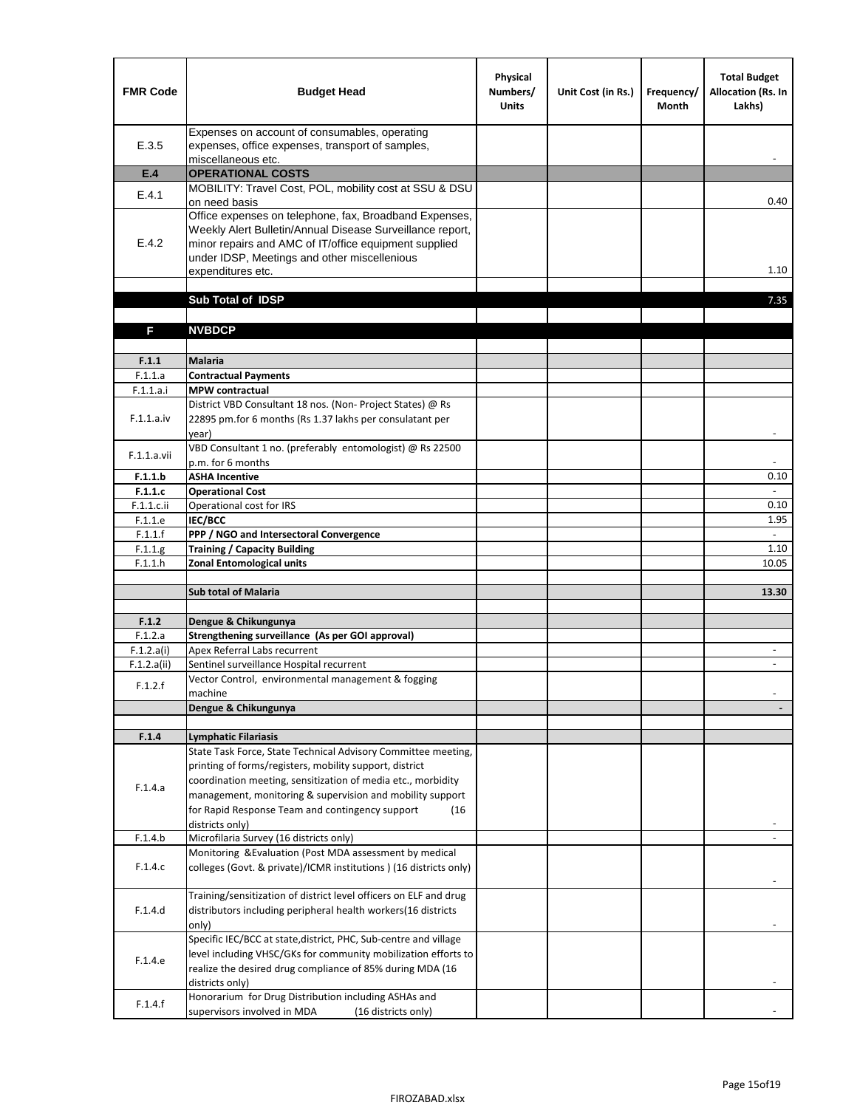| Expenses on account of consumables, operating<br>E.3.5<br>expenses, office expenses, transport of samples,<br>miscellaneous etc.<br><b>OPERATIONAL COSTS</b><br>E.4<br>MOBILITY: Travel Cost, POL, mobility cost at SSU & DSU<br>E.4.1<br>on need basis<br>0.40<br>Office expenses on telephone, fax, Broadband Expenses,<br>Weekly Alert Bulletin/Annual Disease Surveillance report,<br>E.4.2<br>minor repairs and AMC of IT/office equipment supplied<br>under IDSP, Meetings and other miscellenious<br>1.10<br>expenditures etc.<br>Sub Total of IDSP<br>7.35<br><b>NVBDCP</b><br>F<br>F.1.1<br><b>Malaria</b><br>F.1.1.a<br><b>Contractual Payments</b><br><b>MPW</b> contractual<br>F.1.1.a.i<br>District VBD Consultant 18 nos. (Non-Project States) @ Rs<br>F.1.1.a.iv<br>22895 pm.for 6 months (Rs 1.37 lakhs per consulatant per<br>year)<br>$\overline{\phantom{a}}$<br>VBD Consultant 1 no. (preferably entomologist) @ Rs 22500<br>F.1.1.a.vii<br>p.m. for 6 months<br><b>ASHA Incentive</b><br>0.10<br>F.1.1.b<br>F.1.1.c<br><b>Operational Cost</b><br>Operational cost for IRS<br>F.1.1.c.ii<br>0.10<br><b>IEC/BCC</b><br>F.1.1.e<br>1.95<br>F.1.1.f<br>PPP / NGO and Intersectoral Convergence<br>$\sim$<br><b>Training / Capacity Building</b><br>F.1.1.g<br>1.10<br><b>Zonal Entomological units</b><br>10.05<br>F.1.1.h<br><b>Sub total of Malaria</b><br>13.30<br>F.1.2<br>Dengue & Chikungunya<br>Strengthening surveillance (As per GOI approval)<br>F.1.2.a<br>F.1.2.a(i)<br>Apex Referral Labs recurrent<br>Sentinel surveillance Hospital recurrent<br>F.1.2.a(ii)<br>$\sim$<br>Vector Control, environmental management & fogging<br>F.1.2.f<br>machine<br>Dengue & Chikungunya<br>F.1.4<br><b>Lymphatic Filariasis</b><br>State Task Force, State Technical Advisory Committee meeting,<br>printing of forms/registers, mobility support, district<br>coordination meeting, sensitization of media etc., morbidity<br>F.1.4.a<br>management, monitoring & supervision and mobility support<br>for Rapid Response Team and contingency support<br>(16)<br>districts only)<br>Microfilaria Survey (16 districts only)<br>F.1.4.b<br>Monitoring & Evaluation (Post MDA assessment by medical<br>F.1.4.c<br>colleges (Govt. & private)/ICMR institutions ) (16 districts only)<br>Training/sensitization of district level officers on ELF and drug<br>F.1.4.d<br>distributors including peripheral health workers(16 districts<br>only)<br>Specific IEC/BCC at state, district, PHC, Sub-centre and village<br>level including VHSC/GKs for community mobilization efforts to<br>F.1.4.e<br>realize the desired drug compliance of 85% during MDA (16<br>districts only)<br>Honorarium for Drug Distribution including ASHAs and<br>F.1.4.f | <b>FMR Code</b> | <b>Budget Head</b>                                 | Physical<br>Numbers/<br><b>Units</b> | Unit Cost (in Rs.) | Frequency/<br><b>Month</b> | <b>Total Budget</b><br>Allocation (Rs. In<br>Lakhs) |
|-----------------------------------------------------------------------------------------------------------------------------------------------------------------------------------------------------------------------------------------------------------------------------------------------------------------------------------------------------------------------------------------------------------------------------------------------------------------------------------------------------------------------------------------------------------------------------------------------------------------------------------------------------------------------------------------------------------------------------------------------------------------------------------------------------------------------------------------------------------------------------------------------------------------------------------------------------------------------------------------------------------------------------------------------------------------------------------------------------------------------------------------------------------------------------------------------------------------------------------------------------------------------------------------------------------------------------------------------------------------------------------------------------------------------------------------------------------------------------------------------------------------------------------------------------------------------------------------------------------------------------------------------------------------------------------------------------------------------------------------------------------------------------------------------------------------------------------------------------------------------------------------------------------------------------------------------------------------------------------------------------------------------------------------------------------------------------------------------------------------------------------------------------------------------------------------------------------------------------------------------------------------------------------------------------------------------------------------------------------------------------------------------------------------------------------------------------------------------------------------------------------------------------------------------------------------------------------------------------------------------------------------------------------------------------------------------------------------------------------------------------------------------|-----------------|----------------------------------------------------|--------------------------------------|--------------------|----------------------------|-----------------------------------------------------|
|                                                                                                                                                                                                                                                                                                                                                                                                                                                                                                                                                                                                                                                                                                                                                                                                                                                                                                                                                                                                                                                                                                                                                                                                                                                                                                                                                                                                                                                                                                                                                                                                                                                                                                                                                                                                                                                                                                                                                                                                                                                                                                                                                                                                                                                                                                                                                                                                                                                                                                                                                                                                                                                                                                                                                                       |                 |                                                    |                                      |                    |                            |                                                     |
|                                                                                                                                                                                                                                                                                                                                                                                                                                                                                                                                                                                                                                                                                                                                                                                                                                                                                                                                                                                                                                                                                                                                                                                                                                                                                                                                                                                                                                                                                                                                                                                                                                                                                                                                                                                                                                                                                                                                                                                                                                                                                                                                                                                                                                                                                                                                                                                                                                                                                                                                                                                                                                                                                                                                                                       |                 |                                                    |                                      |                    |                            |                                                     |
|                                                                                                                                                                                                                                                                                                                                                                                                                                                                                                                                                                                                                                                                                                                                                                                                                                                                                                                                                                                                                                                                                                                                                                                                                                                                                                                                                                                                                                                                                                                                                                                                                                                                                                                                                                                                                                                                                                                                                                                                                                                                                                                                                                                                                                                                                                                                                                                                                                                                                                                                                                                                                                                                                                                                                                       |                 |                                                    |                                      |                    |                            |                                                     |
|                                                                                                                                                                                                                                                                                                                                                                                                                                                                                                                                                                                                                                                                                                                                                                                                                                                                                                                                                                                                                                                                                                                                                                                                                                                                                                                                                                                                                                                                                                                                                                                                                                                                                                                                                                                                                                                                                                                                                                                                                                                                                                                                                                                                                                                                                                                                                                                                                                                                                                                                                                                                                                                                                                                                                                       |                 |                                                    |                                      |                    |                            |                                                     |
|                                                                                                                                                                                                                                                                                                                                                                                                                                                                                                                                                                                                                                                                                                                                                                                                                                                                                                                                                                                                                                                                                                                                                                                                                                                                                                                                                                                                                                                                                                                                                                                                                                                                                                                                                                                                                                                                                                                                                                                                                                                                                                                                                                                                                                                                                                                                                                                                                                                                                                                                                                                                                                                                                                                                                                       |                 |                                                    |                                      |                    |                            |                                                     |
|                                                                                                                                                                                                                                                                                                                                                                                                                                                                                                                                                                                                                                                                                                                                                                                                                                                                                                                                                                                                                                                                                                                                                                                                                                                                                                                                                                                                                                                                                                                                                                                                                                                                                                                                                                                                                                                                                                                                                                                                                                                                                                                                                                                                                                                                                                                                                                                                                                                                                                                                                                                                                                                                                                                                                                       |                 |                                                    |                                      |                    |                            |                                                     |
|                                                                                                                                                                                                                                                                                                                                                                                                                                                                                                                                                                                                                                                                                                                                                                                                                                                                                                                                                                                                                                                                                                                                                                                                                                                                                                                                                                                                                                                                                                                                                                                                                                                                                                                                                                                                                                                                                                                                                                                                                                                                                                                                                                                                                                                                                                                                                                                                                                                                                                                                                                                                                                                                                                                                                                       |                 |                                                    |                                      |                    |                            |                                                     |
|                                                                                                                                                                                                                                                                                                                                                                                                                                                                                                                                                                                                                                                                                                                                                                                                                                                                                                                                                                                                                                                                                                                                                                                                                                                                                                                                                                                                                                                                                                                                                                                                                                                                                                                                                                                                                                                                                                                                                                                                                                                                                                                                                                                                                                                                                                                                                                                                                                                                                                                                                                                                                                                                                                                                                                       |                 |                                                    |                                      |                    |                            |                                                     |
|                                                                                                                                                                                                                                                                                                                                                                                                                                                                                                                                                                                                                                                                                                                                                                                                                                                                                                                                                                                                                                                                                                                                                                                                                                                                                                                                                                                                                                                                                                                                                                                                                                                                                                                                                                                                                                                                                                                                                                                                                                                                                                                                                                                                                                                                                                                                                                                                                                                                                                                                                                                                                                                                                                                                                                       |                 |                                                    |                                      |                    |                            |                                                     |
|                                                                                                                                                                                                                                                                                                                                                                                                                                                                                                                                                                                                                                                                                                                                                                                                                                                                                                                                                                                                                                                                                                                                                                                                                                                                                                                                                                                                                                                                                                                                                                                                                                                                                                                                                                                                                                                                                                                                                                                                                                                                                                                                                                                                                                                                                                                                                                                                                                                                                                                                                                                                                                                                                                                                                                       |                 |                                                    |                                      |                    |                            |                                                     |
|                                                                                                                                                                                                                                                                                                                                                                                                                                                                                                                                                                                                                                                                                                                                                                                                                                                                                                                                                                                                                                                                                                                                                                                                                                                                                                                                                                                                                                                                                                                                                                                                                                                                                                                                                                                                                                                                                                                                                                                                                                                                                                                                                                                                                                                                                                                                                                                                                                                                                                                                                                                                                                                                                                                                                                       |                 |                                                    |                                      |                    |                            |                                                     |
|                                                                                                                                                                                                                                                                                                                                                                                                                                                                                                                                                                                                                                                                                                                                                                                                                                                                                                                                                                                                                                                                                                                                                                                                                                                                                                                                                                                                                                                                                                                                                                                                                                                                                                                                                                                                                                                                                                                                                                                                                                                                                                                                                                                                                                                                                                                                                                                                                                                                                                                                                                                                                                                                                                                                                                       |                 |                                                    |                                      |                    |                            |                                                     |
|                                                                                                                                                                                                                                                                                                                                                                                                                                                                                                                                                                                                                                                                                                                                                                                                                                                                                                                                                                                                                                                                                                                                                                                                                                                                                                                                                                                                                                                                                                                                                                                                                                                                                                                                                                                                                                                                                                                                                                                                                                                                                                                                                                                                                                                                                                                                                                                                                                                                                                                                                                                                                                                                                                                                                                       |                 |                                                    |                                      |                    |                            |                                                     |
|                                                                                                                                                                                                                                                                                                                                                                                                                                                                                                                                                                                                                                                                                                                                                                                                                                                                                                                                                                                                                                                                                                                                                                                                                                                                                                                                                                                                                                                                                                                                                                                                                                                                                                                                                                                                                                                                                                                                                                                                                                                                                                                                                                                                                                                                                                                                                                                                                                                                                                                                                                                                                                                                                                                                                                       |                 |                                                    |                                      |                    |                            |                                                     |
|                                                                                                                                                                                                                                                                                                                                                                                                                                                                                                                                                                                                                                                                                                                                                                                                                                                                                                                                                                                                                                                                                                                                                                                                                                                                                                                                                                                                                                                                                                                                                                                                                                                                                                                                                                                                                                                                                                                                                                                                                                                                                                                                                                                                                                                                                                                                                                                                                                                                                                                                                                                                                                                                                                                                                                       |                 |                                                    |                                      |                    |                            |                                                     |
|                                                                                                                                                                                                                                                                                                                                                                                                                                                                                                                                                                                                                                                                                                                                                                                                                                                                                                                                                                                                                                                                                                                                                                                                                                                                                                                                                                                                                                                                                                                                                                                                                                                                                                                                                                                                                                                                                                                                                                                                                                                                                                                                                                                                                                                                                                                                                                                                                                                                                                                                                                                                                                                                                                                                                                       |                 |                                                    |                                      |                    |                            |                                                     |
|                                                                                                                                                                                                                                                                                                                                                                                                                                                                                                                                                                                                                                                                                                                                                                                                                                                                                                                                                                                                                                                                                                                                                                                                                                                                                                                                                                                                                                                                                                                                                                                                                                                                                                                                                                                                                                                                                                                                                                                                                                                                                                                                                                                                                                                                                                                                                                                                                                                                                                                                                                                                                                                                                                                                                                       |                 |                                                    |                                      |                    |                            |                                                     |
|                                                                                                                                                                                                                                                                                                                                                                                                                                                                                                                                                                                                                                                                                                                                                                                                                                                                                                                                                                                                                                                                                                                                                                                                                                                                                                                                                                                                                                                                                                                                                                                                                                                                                                                                                                                                                                                                                                                                                                                                                                                                                                                                                                                                                                                                                                                                                                                                                                                                                                                                                                                                                                                                                                                                                                       |                 |                                                    |                                      |                    |                            |                                                     |
|                                                                                                                                                                                                                                                                                                                                                                                                                                                                                                                                                                                                                                                                                                                                                                                                                                                                                                                                                                                                                                                                                                                                                                                                                                                                                                                                                                                                                                                                                                                                                                                                                                                                                                                                                                                                                                                                                                                                                                                                                                                                                                                                                                                                                                                                                                                                                                                                                                                                                                                                                                                                                                                                                                                                                                       |                 |                                                    |                                      |                    |                            |                                                     |
|                                                                                                                                                                                                                                                                                                                                                                                                                                                                                                                                                                                                                                                                                                                                                                                                                                                                                                                                                                                                                                                                                                                                                                                                                                                                                                                                                                                                                                                                                                                                                                                                                                                                                                                                                                                                                                                                                                                                                                                                                                                                                                                                                                                                                                                                                                                                                                                                                                                                                                                                                                                                                                                                                                                                                                       |                 |                                                    |                                      |                    |                            |                                                     |
|                                                                                                                                                                                                                                                                                                                                                                                                                                                                                                                                                                                                                                                                                                                                                                                                                                                                                                                                                                                                                                                                                                                                                                                                                                                                                                                                                                                                                                                                                                                                                                                                                                                                                                                                                                                                                                                                                                                                                                                                                                                                                                                                                                                                                                                                                                                                                                                                                                                                                                                                                                                                                                                                                                                                                                       |                 |                                                    |                                      |                    |                            |                                                     |
|                                                                                                                                                                                                                                                                                                                                                                                                                                                                                                                                                                                                                                                                                                                                                                                                                                                                                                                                                                                                                                                                                                                                                                                                                                                                                                                                                                                                                                                                                                                                                                                                                                                                                                                                                                                                                                                                                                                                                                                                                                                                                                                                                                                                                                                                                                                                                                                                                                                                                                                                                                                                                                                                                                                                                                       |                 |                                                    |                                      |                    |                            |                                                     |
|                                                                                                                                                                                                                                                                                                                                                                                                                                                                                                                                                                                                                                                                                                                                                                                                                                                                                                                                                                                                                                                                                                                                                                                                                                                                                                                                                                                                                                                                                                                                                                                                                                                                                                                                                                                                                                                                                                                                                                                                                                                                                                                                                                                                                                                                                                                                                                                                                                                                                                                                                                                                                                                                                                                                                                       |                 |                                                    |                                      |                    |                            |                                                     |
|                                                                                                                                                                                                                                                                                                                                                                                                                                                                                                                                                                                                                                                                                                                                                                                                                                                                                                                                                                                                                                                                                                                                                                                                                                                                                                                                                                                                                                                                                                                                                                                                                                                                                                                                                                                                                                                                                                                                                                                                                                                                                                                                                                                                                                                                                                                                                                                                                                                                                                                                                                                                                                                                                                                                                                       |                 |                                                    |                                      |                    |                            |                                                     |
|                                                                                                                                                                                                                                                                                                                                                                                                                                                                                                                                                                                                                                                                                                                                                                                                                                                                                                                                                                                                                                                                                                                                                                                                                                                                                                                                                                                                                                                                                                                                                                                                                                                                                                                                                                                                                                                                                                                                                                                                                                                                                                                                                                                                                                                                                                                                                                                                                                                                                                                                                                                                                                                                                                                                                                       |                 |                                                    |                                      |                    |                            |                                                     |
|                                                                                                                                                                                                                                                                                                                                                                                                                                                                                                                                                                                                                                                                                                                                                                                                                                                                                                                                                                                                                                                                                                                                                                                                                                                                                                                                                                                                                                                                                                                                                                                                                                                                                                                                                                                                                                                                                                                                                                                                                                                                                                                                                                                                                                                                                                                                                                                                                                                                                                                                                                                                                                                                                                                                                                       |                 |                                                    |                                      |                    |                            |                                                     |
|                                                                                                                                                                                                                                                                                                                                                                                                                                                                                                                                                                                                                                                                                                                                                                                                                                                                                                                                                                                                                                                                                                                                                                                                                                                                                                                                                                                                                                                                                                                                                                                                                                                                                                                                                                                                                                                                                                                                                                                                                                                                                                                                                                                                                                                                                                                                                                                                                                                                                                                                                                                                                                                                                                                                                                       |                 |                                                    |                                      |                    |                            |                                                     |
|                                                                                                                                                                                                                                                                                                                                                                                                                                                                                                                                                                                                                                                                                                                                                                                                                                                                                                                                                                                                                                                                                                                                                                                                                                                                                                                                                                                                                                                                                                                                                                                                                                                                                                                                                                                                                                                                                                                                                                                                                                                                                                                                                                                                                                                                                                                                                                                                                                                                                                                                                                                                                                                                                                                                                                       |                 |                                                    |                                      |                    |                            |                                                     |
|                                                                                                                                                                                                                                                                                                                                                                                                                                                                                                                                                                                                                                                                                                                                                                                                                                                                                                                                                                                                                                                                                                                                                                                                                                                                                                                                                                                                                                                                                                                                                                                                                                                                                                                                                                                                                                                                                                                                                                                                                                                                                                                                                                                                                                                                                                                                                                                                                                                                                                                                                                                                                                                                                                                                                                       |                 |                                                    |                                      |                    |                            |                                                     |
|                                                                                                                                                                                                                                                                                                                                                                                                                                                                                                                                                                                                                                                                                                                                                                                                                                                                                                                                                                                                                                                                                                                                                                                                                                                                                                                                                                                                                                                                                                                                                                                                                                                                                                                                                                                                                                                                                                                                                                                                                                                                                                                                                                                                                                                                                                                                                                                                                                                                                                                                                                                                                                                                                                                                                                       |                 |                                                    |                                      |                    |                            |                                                     |
|                                                                                                                                                                                                                                                                                                                                                                                                                                                                                                                                                                                                                                                                                                                                                                                                                                                                                                                                                                                                                                                                                                                                                                                                                                                                                                                                                                                                                                                                                                                                                                                                                                                                                                                                                                                                                                                                                                                                                                                                                                                                                                                                                                                                                                                                                                                                                                                                                                                                                                                                                                                                                                                                                                                                                                       |                 |                                                    |                                      |                    |                            |                                                     |
|                                                                                                                                                                                                                                                                                                                                                                                                                                                                                                                                                                                                                                                                                                                                                                                                                                                                                                                                                                                                                                                                                                                                                                                                                                                                                                                                                                                                                                                                                                                                                                                                                                                                                                                                                                                                                                                                                                                                                                                                                                                                                                                                                                                                                                                                                                                                                                                                                                                                                                                                                                                                                                                                                                                                                                       |                 |                                                    |                                      |                    |                            |                                                     |
|                                                                                                                                                                                                                                                                                                                                                                                                                                                                                                                                                                                                                                                                                                                                                                                                                                                                                                                                                                                                                                                                                                                                                                                                                                                                                                                                                                                                                                                                                                                                                                                                                                                                                                                                                                                                                                                                                                                                                                                                                                                                                                                                                                                                                                                                                                                                                                                                                                                                                                                                                                                                                                                                                                                                                                       |                 |                                                    |                                      |                    |                            |                                                     |
|                                                                                                                                                                                                                                                                                                                                                                                                                                                                                                                                                                                                                                                                                                                                                                                                                                                                                                                                                                                                                                                                                                                                                                                                                                                                                                                                                                                                                                                                                                                                                                                                                                                                                                                                                                                                                                                                                                                                                                                                                                                                                                                                                                                                                                                                                                                                                                                                                                                                                                                                                                                                                                                                                                                                                                       |                 |                                                    |                                      |                    |                            |                                                     |
|                                                                                                                                                                                                                                                                                                                                                                                                                                                                                                                                                                                                                                                                                                                                                                                                                                                                                                                                                                                                                                                                                                                                                                                                                                                                                                                                                                                                                                                                                                                                                                                                                                                                                                                                                                                                                                                                                                                                                                                                                                                                                                                                                                                                                                                                                                                                                                                                                                                                                                                                                                                                                                                                                                                                                                       |                 |                                                    |                                      |                    |                            |                                                     |
|                                                                                                                                                                                                                                                                                                                                                                                                                                                                                                                                                                                                                                                                                                                                                                                                                                                                                                                                                                                                                                                                                                                                                                                                                                                                                                                                                                                                                                                                                                                                                                                                                                                                                                                                                                                                                                                                                                                                                                                                                                                                                                                                                                                                                                                                                                                                                                                                                                                                                                                                                                                                                                                                                                                                                                       |                 |                                                    |                                      |                    |                            |                                                     |
|                                                                                                                                                                                                                                                                                                                                                                                                                                                                                                                                                                                                                                                                                                                                                                                                                                                                                                                                                                                                                                                                                                                                                                                                                                                                                                                                                                                                                                                                                                                                                                                                                                                                                                                                                                                                                                                                                                                                                                                                                                                                                                                                                                                                                                                                                                                                                                                                                                                                                                                                                                                                                                                                                                                                                                       |                 |                                                    |                                      |                    |                            |                                                     |
|                                                                                                                                                                                                                                                                                                                                                                                                                                                                                                                                                                                                                                                                                                                                                                                                                                                                                                                                                                                                                                                                                                                                                                                                                                                                                                                                                                                                                                                                                                                                                                                                                                                                                                                                                                                                                                                                                                                                                                                                                                                                                                                                                                                                                                                                                                                                                                                                                                                                                                                                                                                                                                                                                                                                                                       |                 |                                                    |                                      |                    |                            |                                                     |
|                                                                                                                                                                                                                                                                                                                                                                                                                                                                                                                                                                                                                                                                                                                                                                                                                                                                                                                                                                                                                                                                                                                                                                                                                                                                                                                                                                                                                                                                                                                                                                                                                                                                                                                                                                                                                                                                                                                                                                                                                                                                                                                                                                                                                                                                                                                                                                                                                                                                                                                                                                                                                                                                                                                                                                       |                 |                                                    |                                      |                    |                            |                                                     |
|                                                                                                                                                                                                                                                                                                                                                                                                                                                                                                                                                                                                                                                                                                                                                                                                                                                                                                                                                                                                                                                                                                                                                                                                                                                                                                                                                                                                                                                                                                                                                                                                                                                                                                                                                                                                                                                                                                                                                                                                                                                                                                                                                                                                                                                                                                                                                                                                                                                                                                                                                                                                                                                                                                                                                                       |                 |                                                    |                                      |                    |                            |                                                     |
|                                                                                                                                                                                                                                                                                                                                                                                                                                                                                                                                                                                                                                                                                                                                                                                                                                                                                                                                                                                                                                                                                                                                                                                                                                                                                                                                                                                                                                                                                                                                                                                                                                                                                                                                                                                                                                                                                                                                                                                                                                                                                                                                                                                                                                                                                                                                                                                                                                                                                                                                                                                                                                                                                                                                                                       |                 |                                                    |                                      |                    |                            |                                                     |
|                                                                                                                                                                                                                                                                                                                                                                                                                                                                                                                                                                                                                                                                                                                                                                                                                                                                                                                                                                                                                                                                                                                                                                                                                                                                                                                                                                                                                                                                                                                                                                                                                                                                                                                                                                                                                                                                                                                                                                                                                                                                                                                                                                                                                                                                                                                                                                                                                                                                                                                                                                                                                                                                                                                                                                       |                 |                                                    |                                      |                    |                            |                                                     |
|                                                                                                                                                                                                                                                                                                                                                                                                                                                                                                                                                                                                                                                                                                                                                                                                                                                                                                                                                                                                                                                                                                                                                                                                                                                                                                                                                                                                                                                                                                                                                                                                                                                                                                                                                                                                                                                                                                                                                                                                                                                                                                                                                                                                                                                                                                                                                                                                                                                                                                                                                                                                                                                                                                                                                                       |                 |                                                    |                                      |                    |                            |                                                     |
|                                                                                                                                                                                                                                                                                                                                                                                                                                                                                                                                                                                                                                                                                                                                                                                                                                                                                                                                                                                                                                                                                                                                                                                                                                                                                                                                                                                                                                                                                                                                                                                                                                                                                                                                                                                                                                                                                                                                                                                                                                                                                                                                                                                                                                                                                                                                                                                                                                                                                                                                                                                                                                                                                                                                                                       |                 |                                                    |                                      |                    |                            |                                                     |
|                                                                                                                                                                                                                                                                                                                                                                                                                                                                                                                                                                                                                                                                                                                                                                                                                                                                                                                                                                                                                                                                                                                                                                                                                                                                                                                                                                                                                                                                                                                                                                                                                                                                                                                                                                                                                                                                                                                                                                                                                                                                                                                                                                                                                                                                                                                                                                                                                                                                                                                                                                                                                                                                                                                                                                       |                 |                                                    |                                      |                    |                            |                                                     |
|                                                                                                                                                                                                                                                                                                                                                                                                                                                                                                                                                                                                                                                                                                                                                                                                                                                                                                                                                                                                                                                                                                                                                                                                                                                                                                                                                                                                                                                                                                                                                                                                                                                                                                                                                                                                                                                                                                                                                                                                                                                                                                                                                                                                                                                                                                                                                                                                                                                                                                                                                                                                                                                                                                                                                                       |                 |                                                    |                                      |                    |                            |                                                     |
|                                                                                                                                                                                                                                                                                                                                                                                                                                                                                                                                                                                                                                                                                                                                                                                                                                                                                                                                                                                                                                                                                                                                                                                                                                                                                                                                                                                                                                                                                                                                                                                                                                                                                                                                                                                                                                                                                                                                                                                                                                                                                                                                                                                                                                                                                                                                                                                                                                                                                                                                                                                                                                                                                                                                                                       |                 | supervisors involved in MDA<br>(16 districts only) |                                      |                    |                            |                                                     |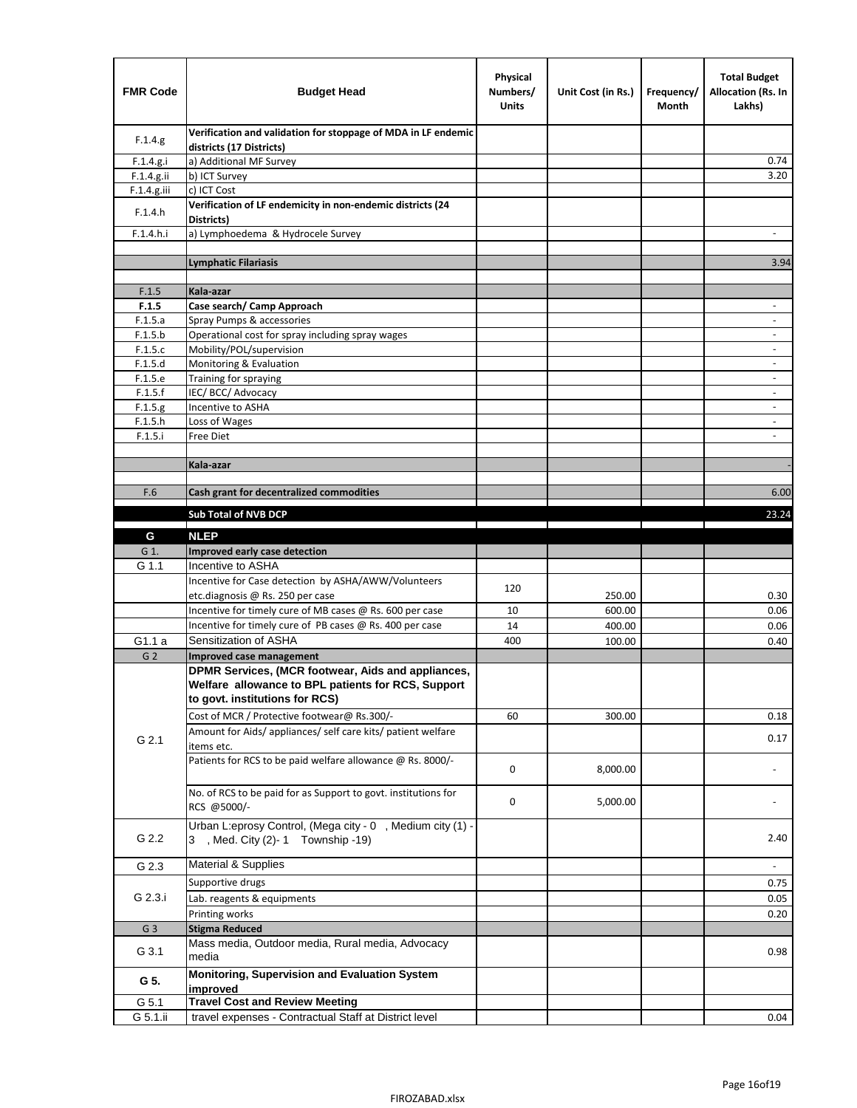| <b>FMR Code</b> | <b>Budget Head</b>                                                                                                                         | Physical<br>Numbers/<br><b>Units</b> | Unit Cost (in Rs.) | Frequency/<br>Month | <b>Total Budget</b><br>Allocation (Rs. In<br>Lakhs) |
|-----------------|--------------------------------------------------------------------------------------------------------------------------------------------|--------------------------------------|--------------------|---------------------|-----------------------------------------------------|
| F.1.4.g.        | Verification and validation for stoppage of MDA in LF endemic<br>districts (17 Districts)                                                  |                                      |                    |                     |                                                     |
| F.1.4.g.i       | a) Additional MF Survey                                                                                                                    |                                      |                    |                     | 0.74                                                |
| F.1.4.g.ii      | b) ICT Survey                                                                                                                              |                                      |                    |                     | 3.20                                                |
| $F.1.4.g.$ iii  | c) ICT Cost                                                                                                                                |                                      |                    |                     |                                                     |
| F.1.4.h         | Verification of LF endemicity in non-endemic districts (24<br>Districts)                                                                   |                                      |                    |                     |                                                     |
| F.1.4.h.i       | a) Lymphoedema & Hydrocele Survey                                                                                                          |                                      |                    |                     |                                                     |
|                 | <b>Lymphatic Filariasis</b>                                                                                                                |                                      |                    |                     | 3.94                                                |
|                 |                                                                                                                                            |                                      |                    |                     |                                                     |
| F.1.5           | Kala-azar                                                                                                                                  |                                      |                    |                     |                                                     |
| F.1.5           | Case search/ Camp Approach                                                                                                                 |                                      |                    |                     | $\overline{\phantom{a}}$                            |
| F.1.5.a         | Spray Pumps & accessories                                                                                                                  |                                      |                    |                     | $\overline{\phantom{a}}$                            |
| F.1.5.b         | Operational cost for spray including spray wages                                                                                           |                                      |                    |                     |                                                     |
| F.1.5.c         | Mobility/POL/supervision                                                                                                                   |                                      |                    |                     | $\blacksquare$                                      |
| F.1.5.d         | Monitoring & Evaluation                                                                                                                    |                                      |                    |                     |                                                     |
| F.1.5.e         | Training for spraying                                                                                                                      |                                      |                    |                     | $\overline{\phantom{a}}$                            |
| F.1.5.f         | IEC/BCC/Advocacy                                                                                                                           |                                      |                    |                     |                                                     |
| F.1.5.g         | Incentive to ASHA                                                                                                                          |                                      |                    |                     | $\overline{\phantom{a}}$                            |
| F.1.5.h         | Loss of Wages                                                                                                                              |                                      |                    |                     | $\overline{\phantom{a}}$                            |
| F.1.5.i         | Free Diet                                                                                                                                  |                                      |                    |                     |                                                     |
|                 |                                                                                                                                            |                                      |                    |                     |                                                     |
|                 | Kala-azar                                                                                                                                  |                                      |                    |                     |                                                     |
| F.6             | Cash grant for decentralized commodities                                                                                                   |                                      |                    |                     | 6.00                                                |
|                 |                                                                                                                                            |                                      |                    |                     |                                                     |
|                 | <b>Sub Total of NVB DCP</b>                                                                                                                |                                      |                    |                     | 23.24                                               |
| G               | <b>NLEP</b>                                                                                                                                |                                      |                    |                     |                                                     |
| G 1.            | Improved early case detection                                                                                                              |                                      |                    |                     |                                                     |
| G 1.1           | Incentive to ASHA                                                                                                                          |                                      |                    |                     |                                                     |
|                 | Incentive for Case detection by ASHA/AWW/Volunteers                                                                                        | 120                                  |                    |                     |                                                     |
|                 | etc.diagnosis @ Rs. 250 per case                                                                                                           |                                      | 250.00             |                     | 0.30                                                |
|                 | Incentive for timely cure of MB cases @ Rs. 600 per case                                                                                   | 10                                   | 600.00             |                     | 0.06                                                |
|                 | Incentive for timely cure of PB cases @ Rs. 400 per case                                                                                   | 14                                   | 400.00             |                     | 0.06                                                |
| G1.1 a          | Sensitization of ASHA                                                                                                                      | 400                                  | 100.00             |                     | 0.40                                                |
| G <sub>2</sub>  | Improved case management                                                                                                                   |                                      |                    |                     |                                                     |
|                 | DPMR Services, (MCR footwear, Aids and appliances,<br>Welfare allowance to BPL patients for RCS, Support<br>to govt. institutions for RCS) |                                      |                    |                     |                                                     |
|                 | Cost of MCR / Protective footwear@ Rs.300/-                                                                                                | 60                                   | 300.00             |                     | 0.18                                                |
| G 2.1           | Amount for Aids/ appliances/ self care kits/ patient welfare<br>items etc.                                                                 |                                      |                    |                     | 0.17                                                |
|                 | Patients for RCS to be paid welfare allowance @ Rs. 8000/-                                                                                 | 0                                    | 8,000.00           |                     |                                                     |
|                 | No. of RCS to be paid for as Support to govt. institutions for<br>RCS @5000/-                                                              | 0                                    | 5,000.00           |                     |                                                     |
| G 2.2           | Urban L:eprosy Control, (Mega city - 0, Medium city (1) -<br>3 , Med. City (2)-1 Township -19)                                             |                                      |                    |                     | 2.40                                                |
| G 2.3           | <b>Material &amp; Supplies</b>                                                                                                             |                                      |                    |                     | $\overline{\phantom{a}}$                            |
|                 | Supportive drugs                                                                                                                           |                                      |                    |                     | 0.75                                                |
| G 2.3.i         | Lab. reagents & equipments                                                                                                                 |                                      |                    |                     | 0.05                                                |
|                 | Printing works                                                                                                                             |                                      |                    |                     | 0.20                                                |
| G <sub>3</sub>  | <b>Stigma Reduced</b>                                                                                                                      |                                      |                    |                     |                                                     |
|                 | Mass media, Outdoor media, Rural media, Advocacy                                                                                           |                                      |                    |                     |                                                     |
| G 3.1           | media<br>Monitoring, Supervision and Evaluation System                                                                                     |                                      |                    |                     | 0.98                                                |
| G 5.            | improved                                                                                                                                   |                                      |                    |                     |                                                     |
| G 5.1           | <b>Travel Cost and Review Meeting</b>                                                                                                      |                                      |                    |                     |                                                     |
| G 5.1.ii        | travel expenses - Contractual Staff at District level                                                                                      |                                      |                    |                     | 0.04                                                |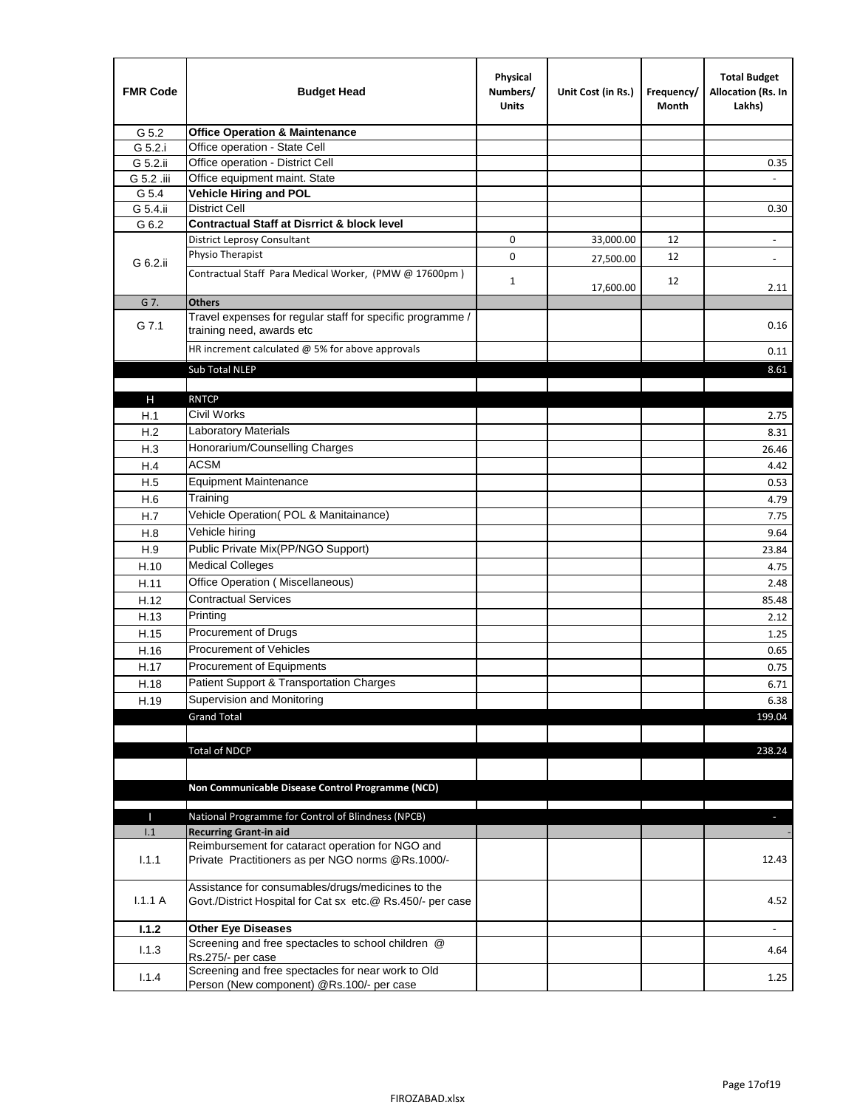| <b>FMR Code</b> | <b>Budget Head</b>                                                                                              | Physical<br>Numbers/<br><b>Units</b> | Unit Cost (in Rs.) | Frequency/<br>Month | <b>Total Budget</b><br>Allocation (Rs. In<br>Lakhs) |
|-----------------|-----------------------------------------------------------------------------------------------------------------|--------------------------------------|--------------------|---------------------|-----------------------------------------------------|
| G 5.2           | <b>Office Operation &amp; Maintenance</b>                                                                       |                                      |                    |                     |                                                     |
| G 5.2.i         | Office operation - State Cell                                                                                   |                                      |                    |                     |                                                     |
| G 5.2.ii        | Office operation - District Cell                                                                                |                                      |                    |                     | 0.35                                                |
| G 5.2 .iii      | Office equipment maint. State                                                                                   |                                      |                    |                     |                                                     |
| G 5.4           | <b>Vehicle Hiring and POL</b>                                                                                   |                                      |                    |                     |                                                     |
| G 5.4.ii        | <b>District Cell</b>                                                                                            |                                      |                    |                     | 0.30                                                |
| G 6.2           | <b>Contractual Staff at Disrrict &amp; block level</b>                                                          |                                      |                    |                     |                                                     |
|                 | <b>District Leprosy Consultant</b>                                                                              | 0                                    | 33,000.00          | 12                  |                                                     |
| G 6.2.ii        | Physio Therapist                                                                                                | 0                                    | 27,500.00          | 12                  | $\overline{\phantom{a}}$                            |
|                 | Contractual Staff Para Medical Worker, (PMW @ 17600pm)                                                          | $\mathbf{1}$                         | 17,600.00          | 12                  | 2.11                                                |
| G 7.            | <b>Others</b>                                                                                                   |                                      |                    |                     |                                                     |
| G 7.1           | Travel expenses for regular staff for specific programme /<br>training need, awards etc                         |                                      |                    |                     | 0.16                                                |
|                 | HR increment calculated $\omega$ 5% for above approvals                                                         |                                      |                    |                     | 0.11                                                |
|                 | Sub Total NLEP                                                                                                  |                                      |                    |                     | 8.61                                                |
|                 |                                                                                                                 |                                      |                    |                     |                                                     |
| Н               | <b>RNTCP</b>                                                                                                    |                                      |                    |                     |                                                     |
| H.1             | Civil Works                                                                                                     |                                      |                    |                     | 2.75                                                |
| H.2             | Laboratory Materials                                                                                            |                                      |                    |                     | 8.31                                                |
| H.3             | Honorarium/Counselling Charges                                                                                  |                                      |                    |                     | 26.46                                               |
| H.4             | <b>ACSM</b>                                                                                                     |                                      |                    |                     | 4.42                                                |
| H.5             | <b>Equipment Maintenance</b>                                                                                    |                                      |                    |                     | 0.53                                                |
| H.6             | Training                                                                                                        |                                      |                    |                     | 4.79                                                |
| H.7             | Vehicle Operation(POL & Manitainance)                                                                           |                                      |                    |                     | 7.75                                                |
| H.8             | Vehicle hiring                                                                                                  |                                      |                    |                     | 9.64                                                |
| H.9             | Public Private Mix(PP/NGO Support)                                                                              |                                      |                    |                     | 23.84                                               |
| H.10            | <b>Medical Colleges</b>                                                                                         |                                      |                    |                     | 4.75                                                |
| H.11            | Office Operation (Miscellaneous)                                                                                |                                      |                    |                     | 2.48                                                |
|                 | <b>Contractual Services</b>                                                                                     |                                      |                    |                     | 85.48                                               |
| H.12            | Printing                                                                                                        |                                      |                    |                     |                                                     |
| H.13            | Procurement of Drugs                                                                                            |                                      |                    |                     | 2.12                                                |
| H.15            |                                                                                                                 |                                      |                    |                     | 1.25                                                |
| H.16            | Procurement of Vehicles                                                                                         |                                      |                    |                     | 0.65                                                |
| H.17            | Procurement of Equipments                                                                                       |                                      |                    |                     | 0.75                                                |
| H.18            | Patient Support & Transportation Charges                                                                        |                                      |                    |                     | 6.71                                                |
| H.19            | Supervision and Monitoring                                                                                      |                                      |                    |                     | 6.38                                                |
|                 | <b>Grand Total</b>                                                                                              |                                      |                    |                     | 199.04                                              |
|                 |                                                                                                                 |                                      |                    |                     |                                                     |
|                 | <b>Total of NDCP</b>                                                                                            |                                      |                    |                     | 238.24                                              |
|                 | Non Communicable Disease Control Programme (NCD)                                                                |                                      |                    |                     |                                                     |
| Т               | National Programme for Control of Blindness (NPCB)                                                              |                                      |                    |                     | ÷.                                                  |
| 1.1             | <b>Recurring Grant-in aid</b>                                                                                   |                                      |                    |                     |                                                     |
| 1.1.1           | Reimbursement for cataract operation for NGO and<br>Private Practitioners as per NGO norms @Rs.1000/-           |                                      |                    |                     | 12.43                                               |
| 1.1.1A          | Assistance for consumables/drugs/medicines to the<br>Govt./District Hospital for Cat sx etc.@ Rs.450/- per case |                                      |                    |                     | 4.52                                                |
|                 |                                                                                                                 |                                      |                    |                     |                                                     |
| 1.1.2           | <b>Other Eye Diseases</b>                                                                                       |                                      |                    |                     |                                                     |
| 1.1.3           | Screening and free spectacles to school children @<br>Rs.275/- per case                                         |                                      |                    |                     | 4.64                                                |
|                 | Screening and free spectacles for near work to Old                                                              |                                      |                    |                     |                                                     |
| 1.1.4           | Person (New component) @Rs.100/- per case                                                                       |                                      |                    |                     | 1.25                                                |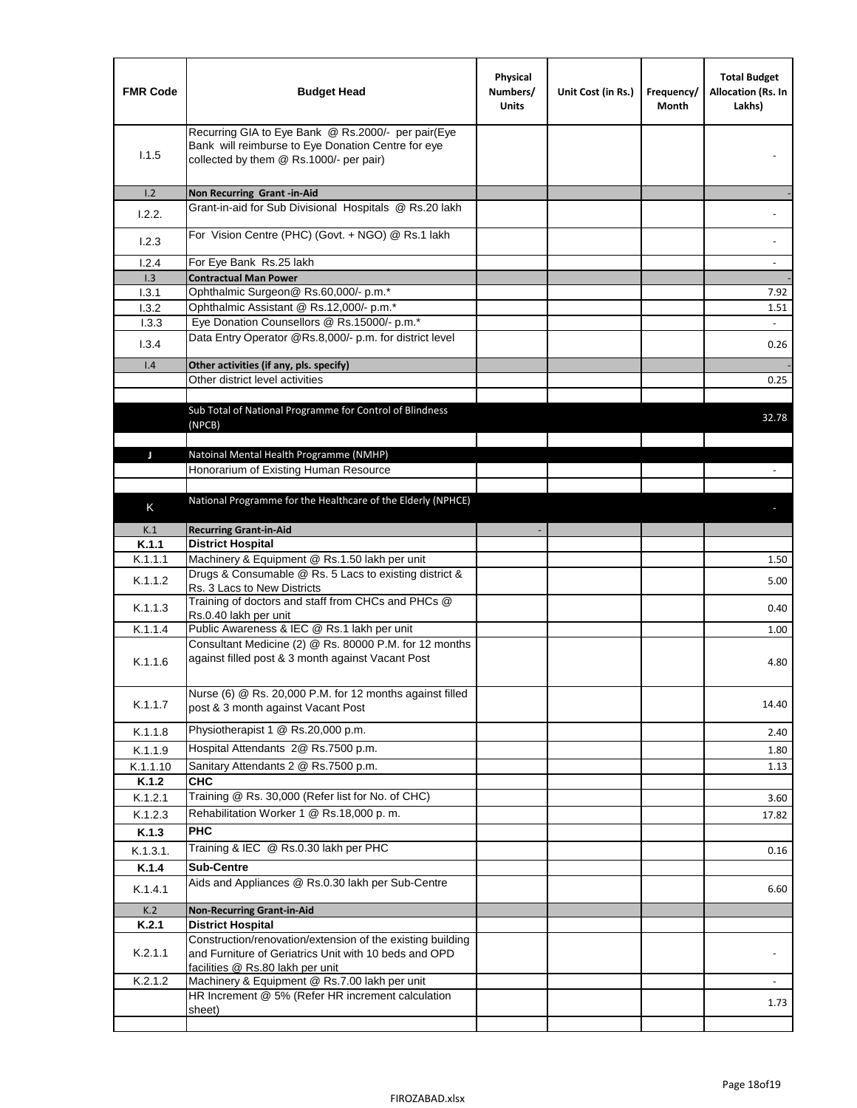| <b>FMR Code</b>   | <b>Budget Head</b>                                                                                                                                      | Physical<br>Numbers/<br><b>Units</b> | Unit Cost (in Rs.) | Frequency/<br>Month | <b>Total Budget</b><br>Allocation (Rs. In<br>Lakhs) |
|-------------------|---------------------------------------------------------------------------------------------------------------------------------------------------------|--------------------------------------|--------------------|---------------------|-----------------------------------------------------|
| 1.1.5             | Recurring GIA to Eye Bank @ Rs.2000/- per pair(Eye<br>Bank will reimburse to Eye Donation Centre for eye<br>collected by them @ Rs.1000/- per pair)     |                                      |                    |                     |                                                     |
| 1.2               | Non Recurring Grant -in-Aid                                                                                                                             |                                      |                    |                     |                                                     |
| 1.2.2.            | Grant-in-aid for Sub Divisional Hospitals @ Rs.20 lakh                                                                                                  |                                      |                    |                     |                                                     |
| 1.2.3             | For Vision Centre (PHC) (Govt. + NGO) @ Rs.1 lakh                                                                                                       |                                      |                    |                     |                                                     |
| 1.2.4             | For Eye Bank Rs.25 lakh                                                                                                                                 |                                      |                    |                     | $\overline{\phantom{a}}$                            |
| 1.3               | <b>Contractual Man Power</b>                                                                                                                            |                                      |                    |                     |                                                     |
| 1.3.1             | Ophthalmic Surgeon@ Rs.60,000/- p.m.*                                                                                                                   |                                      |                    |                     | 7.92                                                |
| 1.3.2             | Ophthalmic Assistant @ Rs.12,000/- p.m.*                                                                                                                |                                      |                    |                     | 1.51                                                |
| 1.3.3             | Eye Donation Counsellors @ Rs.15000/- p.m.*                                                                                                             |                                      |                    |                     | $\sim$                                              |
| 1.3.4             | Data Entry Operator @Rs.8,000/- p.m. for district level                                                                                                 |                                      |                    |                     | 0.26                                                |
| 1.4               | Other activities (if any, pls. specify)                                                                                                                 |                                      |                    |                     |                                                     |
|                   | Other district level activities                                                                                                                         |                                      |                    |                     | 0.25                                                |
|                   |                                                                                                                                                         |                                      |                    |                     |                                                     |
|                   | Sub Total of National Programme for Control of Blindness                                                                                                |                                      |                    |                     | 32.78                                               |
|                   | (NPCB)                                                                                                                                                  |                                      |                    |                     |                                                     |
|                   |                                                                                                                                                         |                                      |                    |                     |                                                     |
| J                 | Natoinal Mental Health Programme (NMHP)<br>Honorarium of Existing Human Resource                                                                        |                                      |                    |                     |                                                     |
|                   |                                                                                                                                                         |                                      |                    |                     |                                                     |
|                   | National Programme for the Healthcare of the Elderly (NPHCE)                                                                                            |                                      |                    |                     |                                                     |
| K                 |                                                                                                                                                         |                                      |                    |                     |                                                     |
| K.1               | <b>Recurring Grant-in-Aid</b>                                                                                                                           |                                      |                    |                     |                                                     |
| K.1.1             | <b>District Hospital</b>                                                                                                                                |                                      |                    |                     |                                                     |
| K.1.1.1           | Machinery & Equipment @ Rs.1.50 lakh per unit                                                                                                           |                                      |                    |                     | 1.50                                                |
| K.1.1.2           | Drugs & Consumable @ Rs. 5 Lacs to existing district &                                                                                                  |                                      |                    |                     | 5.00                                                |
|                   | Rs. 3 Lacs to New Districts<br>Training of doctors and staff from CHCs and PHCs @                                                                       |                                      |                    |                     |                                                     |
| K.1.1.3           | Rs.0.40 lakh per unit                                                                                                                                   |                                      |                    |                     | 0.40                                                |
| K.1.1.4           | Public Awareness & IEC @ Rs.1 lakh per unit                                                                                                             |                                      |                    |                     | 1.00                                                |
| K.1.1.6           | Consultant Medicine (2) @ Rs. 80000 P.M. for 12 months<br>against filled post & 3 month against Vacant Post                                             |                                      |                    |                     | 4.80                                                |
| K.1.1.7           | Nurse (6) @ Rs. 20,000 P.M. for 12 months against filled<br>post & 3 month against Vacant Post                                                          |                                      |                    |                     | 14.40                                               |
| K.1.1.8           | Physiotherapist 1 @ Rs.20,000 p.m.                                                                                                                      |                                      |                    |                     | 2.40                                                |
|                   | Hospital Attendants 2@ Rs.7500 p.m.                                                                                                                     |                                      |                    |                     |                                                     |
| K.1.1.9           |                                                                                                                                                         |                                      |                    |                     | 1.80                                                |
| K.1.1.10<br>K.1.2 | Sanitary Attendants 2 @ Rs.7500 p.m.<br><b>CHC</b>                                                                                                      |                                      |                    |                     | 1.13                                                |
| K.1.2.1           | Training @ Rs. 30,000 (Refer list for No. of CHC)                                                                                                       |                                      |                    |                     | 3.60                                                |
| K.1.2.3           | Rehabilitation Worker 1 @ Rs.18,000 p. m.                                                                                                               |                                      |                    |                     | 17.82                                               |
| K.1.3             | <b>PHC</b>                                                                                                                                              |                                      |                    |                     |                                                     |
|                   | Training & IEC @ Rs.0.30 lakh per PHC                                                                                                                   |                                      |                    |                     |                                                     |
| K.1.3.1.          |                                                                                                                                                         |                                      |                    |                     | 0.16                                                |
| K.1.4             | <b>Sub-Centre</b>                                                                                                                                       |                                      |                    |                     |                                                     |
| K.1.4.1           | Aids and Appliances @ Rs.0.30 lakh per Sub-Centre                                                                                                       |                                      |                    |                     | 6.60                                                |
| K.2               | <b>Non-Recurring Grant-in-Aid</b>                                                                                                                       |                                      |                    |                     |                                                     |
| K.2.1             | <b>District Hospital</b>                                                                                                                                |                                      |                    |                     |                                                     |
| K.2.1.1           | Construction/renovation/extension of the existing building<br>and Furniture of Geriatrics Unit with 10 beds and OPD<br>facilities @ Rs.80 lakh per unit |                                      |                    |                     |                                                     |
| K.2.1.2           | Machinery & Equipment @ Rs.7.00 lakh per unit                                                                                                           |                                      |                    |                     |                                                     |
|                   | HR Increment @ 5% (Refer HR increment calculation                                                                                                       |                                      |                    |                     | 1.73                                                |
|                   | sheet)                                                                                                                                                  |                                      |                    |                     |                                                     |